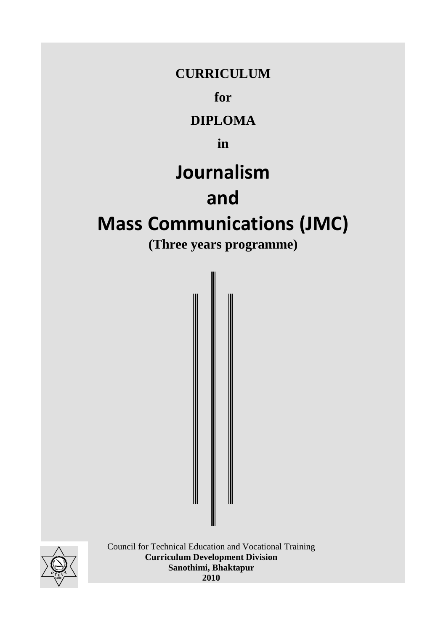## **CURRICULUM**

**for** 

**DIPLOMA** 

**in** 

# **Journalism**

# **and**

# **Mass Communications (JMC)**

**(Three years programme)** 



 Council for Technical Education and Vocational Training  **Curriculum Development Division Sanothimi, Bhaktapur 1989 1999 1999 1999 2010** 

I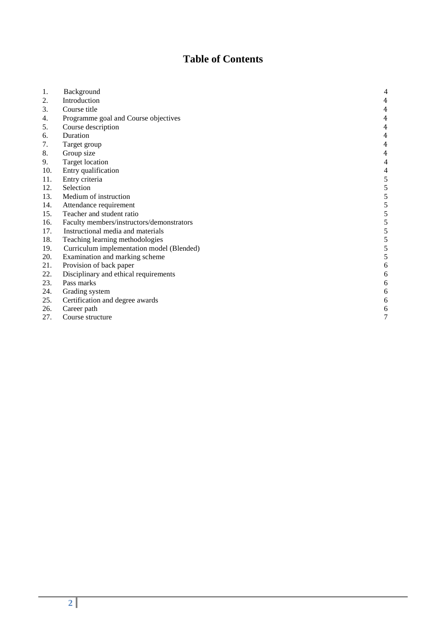## **Table of Contents**

| 1.  | Background                                | 4                |
|-----|-------------------------------------------|------------------|
| 2.  | Introduction                              | 4                |
| 3.  | Course title                              | 4                |
| 4.  | Programme goal and Course objectives      | 4                |
| 5.  | Course description                        | 4                |
| 6.  | Duration                                  | 4                |
| 7.  | Target group                              | 4                |
| 8.  | Group size                                | 4                |
| 9.  | <b>Target location</b>                    | 4                |
| 10. | Entry qualification                       | 4                |
| 11. | Entry criteria                            | 5                |
| 12. | Selection                                 | 5                |
| 13. | Medium of instruction                     | 5                |
| 14. | Attendance requirement                    | 5                |
| 15. | Teacher and student ratio                 | 5                |
| 16. | Faculty members/instructors/demonstrators | 5                |
| 17. | Instructional media and materials         | 5                |
| 18. | Teaching learning methodologies           | 5                |
| 19. | Curriculum implementation model (Blended) | 5                |
| 20. | Examination and marking scheme            | 5                |
| 21. | Provision of back paper                   | 6                |
| 22. | Disciplinary and ethical requirements     | 6                |
| 23. | Pass marks                                | 6                |
| 24. | Grading system                            | 6                |
| 25. | Certification and degree awards           | 6                |
| 26. | Career path                               | 6                |
| 27. | Course structure                          | $\boldsymbol{7}$ |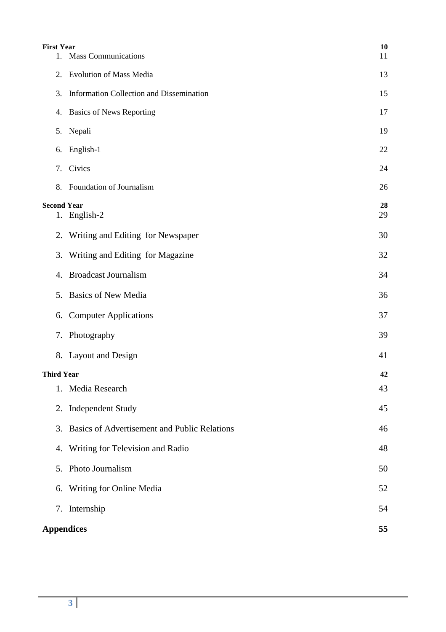| <b>First Year</b>  | 1. Mass Communications                          | 10<br>11 |
|--------------------|-------------------------------------------------|----------|
| 2.                 | <b>Evolution of Mass Media</b>                  | 13       |
| 3.                 | Information Collection and Dissemination        | 15       |
|                    | 4. Basics of News Reporting                     | 17       |
|                    | 5. Nepali                                       | 19       |
|                    | 6. English-1                                    | 22       |
| 7.                 | Civics                                          | 24       |
|                    | 8. Foundation of Journalism                     | 26       |
| <b>Second Year</b> | 1. English-2                                    | 28<br>29 |
|                    | 2. Writing and Editing for Newspaper            | 30       |
| 3.                 | Writing and Editing for Magazine                | 32       |
|                    | 4. Broadcast Journalism                         | 34       |
|                    | 5. Basics of New Media                          | 36       |
| 6.                 | <b>Computer Applications</b>                    | 37       |
|                    | 7. Photography                                  | 39       |
|                    | 8. Layout and Design                            | 41       |
| <b>Third Year</b>  |                                                 | 42       |
| 1.                 | Media Research                                  | 43       |
|                    | 2. Independent Study                            | 45       |
|                    | 3. Basics of Advertisement and Public Relations | 46       |
| 4.                 | Writing for Television and Radio                | 48       |
|                    | 5. Photo Journalism                             | 50       |
| 6.                 | Writing for Online Media                        | 52       |
|                    | 7. Internship                                   | 54       |
| <b>Appendices</b>  |                                                 | 55       |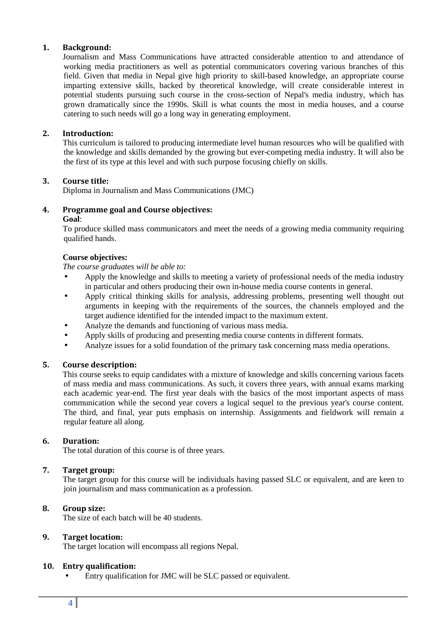#### **1. Background:**

 Journalism and Mass Communications have attracted considerable attention to and attendance of working media practitioners as well as potential communicators covering various branches of this field. Given that media in Nepal give high priority to skill-based knowledge, an appropriate course imparting extensive skills, backed by theoretical knowledge, will create considerable interest in potential students pursuing such course in the cross-section of Nepal's media industry, which has grown dramatically since the 1990s. Skill is what counts the most in media houses, and a course catering to such needs will go a long way in generating employment.

#### **2. Introduction:**

 This curriculum is tailored to producing intermediate level human resources who will be qualified with the knowledge and skills demanded by the growing but ever-competing media industry. It will also be the first of its type at this level and with such purpose focusing chiefly on skills.

#### **3. Course title:**

Diploma in Journalism and Mass Communications (JMC)

## **4. Programme goal and Course objectives:**

#### **Goal**:

 To produce skilled mass communicators and meet the needs of a growing media community requiring qualified hands.

#### **Course objectives:**

 *The course graduates will be able to:* 

- Apply the knowledge and skills to meeting a variety of professional needs of the media industry in particular and others producing their own in-house media course contents in general.
- Apply critical thinking skills for analysis, addressing problems, presenting well thought out arguments in keeping with the requirements of the sources, the channels employed and the target audience identified for the intended impact to the maximum extent.
- Analyze the demands and functioning of various mass media.
- Apply skills of producing and presenting media course contents in different formats.
- Analyze issues for a solid foundation of the primary task concerning mass media operations.

#### **5. Course description:**

 This course seeks to equip candidates with a mixture of knowledge and skills concerning various facets of mass media and mass communications. As such, it covers three years, with annual exams marking each academic year-end. The first year deals with the basics of the most important aspects of mass communication while the second year covers a logical sequel to the previous year's course content. The third, and final, year puts emphasis on internship. Assignments and fieldwork will remain a regular feature all along.

#### **6. Duration:**

The total duration of this course is of three years.

#### **7. Target group:**

 The target group for this course will be individuals having passed SLC or equivalent, and are keen to join journalism and mass communication as a profession.

#### **8. Group size:**

The size of each batch will be 40 students.

#### **9. Target location:**

The target location will encompass all regions Nepal.

#### **10. Entry qualification:**

Entry qualification for JMC will be SLC passed or equivalent.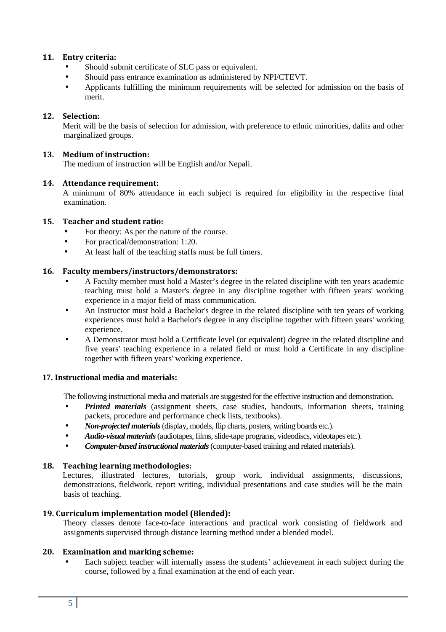#### **11. Entry criteria:**

- Should submit certificate of SLC pass or equivalent.
- Should pass entrance examination as administered by NPI/CTEVT.
- Applicants fulfilling the minimum requirements will be selected for admission on the basis of merit.

#### **12. Selection:**

 Merit will be the basis of selection for admission, with preference to ethnic minorities, dalits and other marginalized groups.

#### **13. Medium of instruction:**

The medium of instruction will be English and/or Nepali.

#### **14. Attendance requirement:**

 A minimum of 80% attendance in each subject is required for eligibility in the respective final examination.

#### **15. Teacher and student ratio:**

- For theory: As per the nature of the course.
- For practical/demonstration: 1:20.
- At least half of the teaching staffs must be full timers.

#### **16. Faculty members/instructors/demonstrators:**

- A Faculty member must hold a Master's degree in the related discipline with ten years academic teaching must hold a Master's degree in any discipline together with fifteen years' working experience in a major field of mass communication.
- An Instructor must hold a Bachelor's degree in the related discipline with ten years of working experiences must hold a Bachelor's degree in any discipline together with fifteen years' working experience.
- A Demonstrator must hold a Certificate level (or equivalent) degree in the related discipline and five years' teaching experience in a related field or must hold a Certificate in any discipline together with fifteen years' working experience.

#### **17. Instructional media and materials:**

The following instructional media and materials are suggested for the effective instruction and demonstration.

- *Printed materials* (assignment sheets, case studies, handouts, information sheets, training packets, procedure and performance check lists, textbooks).
- *Non-projected materials*(display, models, flip charts, posters, writing boards etc.).
- *Audio-visual materials*(audiotapes, films, slide-tape programs, videodiscs, videotapes etc.).
- *Computer-based instructional materials*(computer-based training and related materials).

#### **18. Teaching learning methodologies:**

 Lectures, illustrated lectures, tutorials, group work, individual assignments, discussions, demonstrations, fieldwork, report writing, individual presentations and case studies will be the main basis of teaching.

#### **19. Curriculum implementation model (Blended):**

 Theory classes denote face-to-face interactions and practical work consisting of fieldwork and assignments supervised through distance learning method under a blended model.

#### **20. Examination and marking scheme:**

Each subject teacher will internally assess the students' achievement in each subject during the course, followed by a final examination at the end of each year.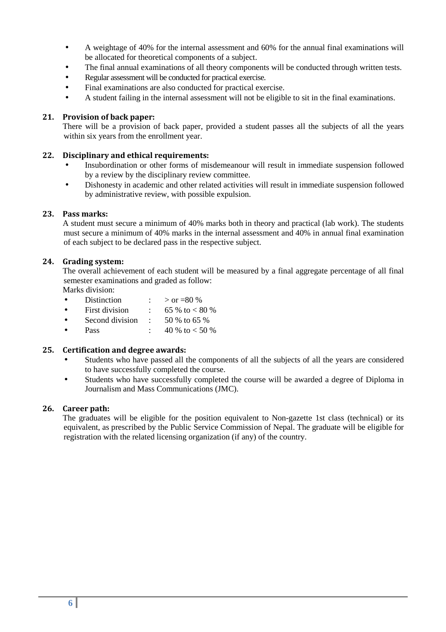- A weightage of 40% for the internal assessment and 60% for the annual final examinations will be allocated for theoretical components of a subject.
- The final annual examinations of all theory components will be conducted through written tests.
- Regular assessment will be conducted for practical exercise.
- Final examinations are also conducted for practical exercise.
- A student failing in the internal assessment will not be eligible to sit in the final examinations.

#### **21. Provision of back paper:**

 There will be a provision of back paper, provided a student passes all the subjects of all the years within six years from the enrollment year.

#### **22. Disciplinary and ethical requirements:**

- Insubordination or other forms of misdemeanour will result in immediate suspension followed by a review by the disciplinary review committee.
- Dishonesty in academic and other related activities will result in immediate suspension followed by administrative review, with possible expulsion.

#### **23. Pass marks:**

 A student must secure a minimum of 40% marks both in theory and practical (lab work). The students must secure a minimum of 40% marks in the internal assessment and 40% in annual final examination of each subject to be declared pass in the respective subject.

#### **24. Grading system:**

 The overall achievement of each student will be measured by a final aggregate percentage of all final semester examinations and graded as follow:

Marks division:

- Distinction :  $> \text{or} = 80\%$ • First division :  $65\%$  to  $< 80\%$ Second division :  $50\%$  to 65 %
- Pass :  $40\%$  to  $< 50\%$

#### **25. Certification and degree awards:**

- Students who have passed all the components of all the subjects of all the years are considered to have successfully completed the course.
- Students who have successfully completed the course will be awarded a degree of Diploma in Journalism and Mass Communications (JMC).

#### **26. Career path:**

 The graduates will be eligible for the position equivalent to Non-gazette 1st class (technical) or its equivalent, as prescribed by the Public Service Commission of Nepal. The graduate will be eligible for registration with the related licensing organization (if any) of the country.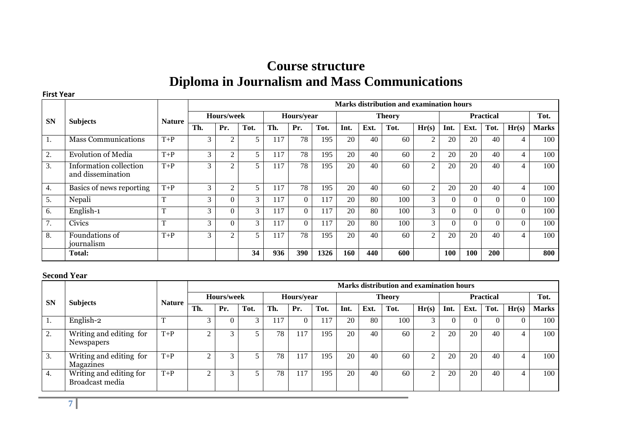## **Course structure Diploma in Journalism and Mass Communications**

#### **First Year**

|           |                                             |               |            | <b>Marks distribution and examination hours</b> |      |     |            |      |      |               |      |                |          |                  |          |                |              |
|-----------|---------------------------------------------|---------------|------------|-------------------------------------------------|------|-----|------------|------|------|---------------|------|----------------|----------|------------------|----------|----------------|--------------|
| <b>SN</b> | <b>Subjects</b>                             | <b>Nature</b> | Hours/week |                                                 |      |     | Hours/year |      |      | <b>Theory</b> |      |                |          | <b>Practical</b> |          |                |              |
|           |                                             |               | Th.        | Pr.                                             | Tot. | Th. | Pr.        | Tot. | Int. | Ext.          | Tot. | Hr(s)          | Int.     | Ext.             | Tot.     | Hr(s)          | <b>Marks</b> |
| -1.       | <b>Mass Communications</b>                  | $T+P$         | 3          | 2                                               | 5    | 117 | 78         | 195  | 20   | 40            | 60   | $\overline{2}$ | 20       | 20               | 40       | $\overline{4}$ | 100          |
| 2.        | <b>Evolution of Media</b>                   | $T+P$         | 3          | 2                                               | 5    | 117 | 78         | 195  | 20   | 40            | 60   | $\overline{c}$ | 20       | 20               | 40       | $\overline{4}$ | 100          |
| 3.        | Information collection<br>and dissemination | $T+P$         | 3          | $\mathcal{L}$                                   | 5    | 117 | 78         | 195  | 20   | 40            | 60   | 2              | 20       | 20               | 40       | 4              | 100          |
| 4.        | Basics of news reporting                    | $T+P$         | 3          | $\overline{c}$                                  | 5    | 117 | 78         | 195  | 20   | 40            | 60   | $\overline{2}$ | 20       | 20               | 40       | $\overline{4}$ | 100          |
| 5.        | Nepali                                      | $\mathbf{T}$  | 3          | 0                                               | 3    | 117 | $\Omega$   | 117  | 20   | 80            | 100  | 3              | $\theta$ | $\Omega$         | $\theta$ | $\Omega$       | 100          |
| 6.        | English-1                                   | m.            | 3          | $\theta$                                        | 3    | 117 | $\Omega$   | 117  | 20   | 80            | 100  | 3              | $\Omega$ | $\Omega$         | $\theta$ | $\Omega$       | 100          |
| 7.        | <b>Civics</b>                               | m             | 3          | $\theta$                                        | 3    | 117 | $\Omega$   | 117  | 20   | 80            | 100  | 3              | $\Omega$ | $\theta$         | $\Omega$ | $\theta$       | 100          |
| 8.        | Foundations of<br>iournalism                | $T+P$         | 3          | $\overline{c}$                                  |      | 117 | 78         | 195  | 20   | 40            | 60   | $\overline{2}$ | 20       | 20               | 40       | $\overline{4}$ | 100          |
|           | Total:                                      |               |            |                                                 | 34   | 936 | <b>390</b> | 1326 | 160  | 440           | 600  |                | 100      | 100              | 200      |                | 800          |

#### **Second Year**

|           |                                            |               |           | Marks distribution and examination hours |      |     |                       |      |      |               |      |                |      |                  |      |       |              |
|-----------|--------------------------------------------|---------------|-----------|------------------------------------------|------|-----|-----------------------|------|------|---------------|------|----------------|------|------------------|------|-------|--------------|
| <b>SN</b> | <b>Subjects</b>                            | <b>Nature</b> |           | Hours/week                               |      |     | <b>Hours/year</b>     |      |      | <b>Theory</b> |      |                |      | <b>Practical</b> |      |       |              |
|           |                                            |               | Th.       | Pr.                                      | Tot. | Th. | Pr.                   | Tot. | Int. | Ext.          | Tot. | Hr(s)          | Int. | Ext.             | Tot. | Hr(s) | <b>Marks</b> |
|           | English-2                                  |               | 3         |                                          |      | .17 |                       | 17   | 20   | 80            | 100  | 3              |      |                  |      |       | 100          |
| 2.        | Writing and editing for<br>Newspapers      | $T+P$         | $\sim$    |                                          |      | 78  | 17                    | 195  | 20   | 40            | 60   | $\Omega$       | 20   | 20               | 40   |       | 100          |
| 3.        | Writing and editing for<br>Magazines       | $T+P$         | $\gamma$  |                                          |      | 78  | 17<br>11 <sup>T</sup> | 195  | 20   | 40            | 60   | $\overline{2}$ | 20   | 20               | 40   |       | 100          |
| 4.        | Writing and editing for<br>Broadcast media | $T+P$         | $\bigcap$ |                                          |      | 78  | 17                    | 195  | 20   | 40            | 60   | $\gamma$       | 20   | 20               | 40   |       | 100          |

**7**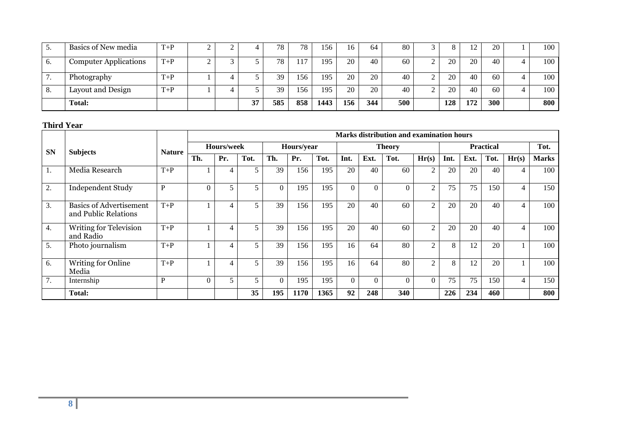|    | Basics of New media          | $T+P$ |  |    | 78  | 78   | 156  | 16  | 64  | 80  |             |     | ∣າ  | 20  | 100 |
|----|------------------------------|-------|--|----|-----|------|------|-----|-----|-----|-------------|-----|-----|-----|-----|
| v. | <b>Computer Applications</b> | $T+P$ |  |    | 78  | 17،  | 195  | 20  | 40  | 60  |             | 20  | 20  | 40  | 100 |
|    | Photography                  | $T+P$ |  |    | 39  | 156  | 195  | 20  | 20  | 40  | ∼           | 20  | 40  | 60  | 100 |
| o. | Layout and Design            | $T+P$ |  |    | 39  | l 56 | 195  | 20  | 20  | 40  | $\sim$<br>∼ | 20  | 40  | 60  | 100 |
|    | <b>Total:</b>                |       |  | 37 | 585 | 858  | 1443 | 156 | 344 | 500 |             | 128 | 172 | 300 | 800 |

#### **Third Year**

|                  |                                                        |               |          | Marks distribution and examination hours |      |          |            |      |          |          |               |                |      |      |                  |                |              |
|------------------|--------------------------------------------------------|---------------|----------|------------------------------------------|------|----------|------------|------|----------|----------|---------------|----------------|------|------|------------------|----------------|--------------|
| <b>SN</b>        | <b>Subjects</b>                                        | <b>Nature</b> |          | Hours/week                               |      |          | Hours/year |      |          |          | <b>Theory</b> |                |      |      | <b>Practical</b> |                | Tot.         |
|                  |                                                        |               | Th.      | Pr.                                      | Tot. | Th.      | Pr.        | Tot. | Int.     | Ext.     | Tot.          | Hr(s)          | Int. | Ext. | Tot.             | Hr(s)          | <b>Marks</b> |
| -1.              | Media Research                                         | $T+P$         |          | 4                                        |      | 39       | 156        | 195  | 20       | 40       | 60            | 2              | 20   | 20   | 40               | 4              | 100          |
| 2.               | <b>Independent Study</b>                               | P             | $\Omega$ | 5                                        |      | $\Omega$ | 195        | 195  | $\Omega$ | $\Omega$ | $\theta$      | $\overline{2}$ | 75   | 75   | 150              | $\overline{4}$ | 150          |
| 3.               | <b>Basics of Advertisement</b><br>and Public Relations | $T+P$         |          | 4                                        |      | 39       | 156        | 195  | 20       | 40       | 60            | $\overline{2}$ | 20   | 20   | 40               | $\overline{4}$ | 100          |
| $\overline{4}$ . | <b>Writing for Television</b><br>and Radio             | $T+P$         |          | 4                                        |      | 39       | 156        | 195  | 20       | 40       | 60            | $\overline{2}$ | 20   | 20   | 40               | $\overline{4}$ | 100          |
| 5.               | Photo journalism                                       | $T+P$         |          | 4                                        | 5    | 39       | 156        | 195  | 16       | 64       | 80            | $\overline{2}$ | 8    | 12   | 20               |                | 100          |
| 6.               | Writing for Online<br>Media                            | $T+P$         |          |                                          | 5    | 39       | 156        | 195  | 16       | 64       | 80            | $\overline{2}$ | 8    | 12   | 20               |                | 100          |
| 7.               | Internship                                             | P             | $\Omega$ | 5                                        |      | $\Omega$ | 195        | 195  | $\Omega$ | $\Omega$ | $\Omega$      | $\Omega$       | 75   | 75   | 150              | $\overline{4}$ | 150          |
|                  | <b>Total:</b>                                          |               |          |                                          | 35   | 195      | 1170       | 1365 | 92       | 248      | 340           |                | 226  | 234  | 460              |                | 800          |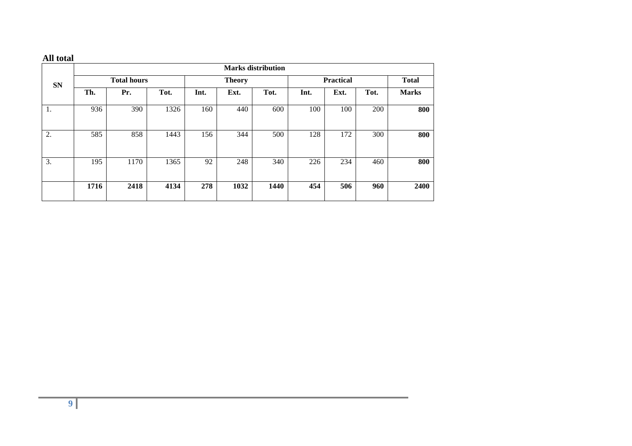#### **All total**

|           |      |                    |      |      |               | <b>Marks distribution</b> |                  |              |      |              |
|-----------|------|--------------------|------|------|---------------|---------------------------|------------------|--------------|------|--------------|
| <b>SN</b> |      | <b>Total hours</b> |      |      | <b>Theory</b> |                           | <b>Practical</b> | <b>Total</b> |      |              |
|           | Th.  | Pr.                | Tot. | Int. | Ext.          | Tot.                      | Int.             | Ext.         | Tot. | <b>Marks</b> |
| 1.        | 936  | 390                | 1326 | 160  | 440           | 600                       | 100              | 100          | 200  | 800          |
| 2.        | 585  | 858                | 1443 | 156  | 344           | 500                       | 128              | 172          | 300  | 800          |
| 3.        | 195  | 1170               | 1365 | 92   | 248           | 340                       | 226              | 234          | 460  | 800          |
|           | 1716 | 2418               | 4134 | 278  | 1032          | 1440                      | 454              | 506          | 960  | 2400         |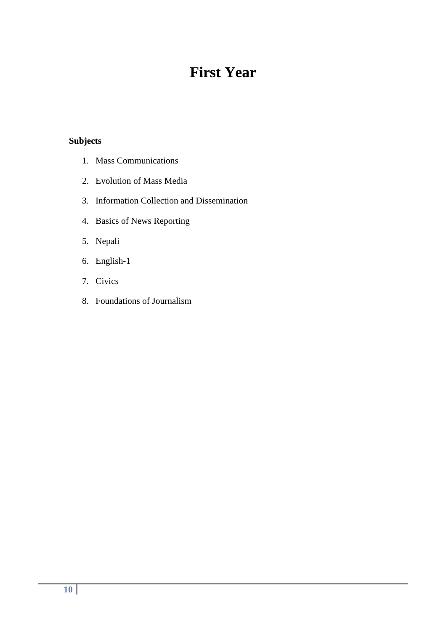## **First Year**

### **Subjects**

- 1. Mass Communications
- 2. Evolution of Mass Media
- 3. Information Collection and Dissemination
- 4. Basics of News Reporting
- 5. Nepali
- 6. English-1
- 7. Civics
- 8. Foundations of Journalism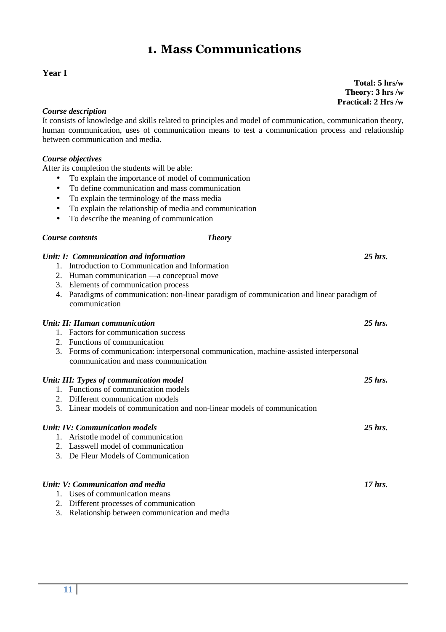## **1. Mass Communications**

#### **Year I**

*Course description* 

It consists of knowledge and skills related to principles and model of communication, communication theory, human communication, uses of communication means to test a communication process and relationship between communication and media.

#### *Course objectives*

After its completion the students will be able:

- To explain the importance of model of communication
- To define communication and mass communication
- To explain the terminology of the mass media
- To explain the relationship of media and communication
- To describe the meaning of communication

#### *Course contents Theory*

| Unit: I: Communication and information<br>1. Introduction to Communication and Information                                     | $25$ hrs. |
|--------------------------------------------------------------------------------------------------------------------------------|-----------|
| 2.                                                                                                                             |           |
| Human communication — a conceptual move<br>Elements of communication process<br>3.                                             |           |
| Paradigms of communication: non-linear paradigm of communication and linear paradigm of<br>4.<br>communication                 |           |
| Unit: II: Human communication                                                                                                  | $25$ hrs. |
| 1. Factors for communication success                                                                                           |           |
| 2. Functions of communication                                                                                                  |           |
| 3. Forms of communication: interpersonal communication, machine-assisted interpersonal<br>communication and mass communication |           |
| Unit: III: Types of communication model                                                                                        | $25$ hrs. |
| 1. Functions of communication models                                                                                           |           |
| 2. Different communication models                                                                                              |           |
| 3. Linear models of communication and non-linear models of communication                                                       |           |
| <b>Unit: IV: Communication models</b>                                                                                          | $25$ hrs. |
| 1. Aristotle model of communication                                                                                            |           |
| 2. Lasswell model of communication                                                                                             |           |
| 3. De Fleur Models of Communication                                                                                            |           |
| Unit: V: Communication and media                                                                                               | $17$ hrs. |
| 1. Uses of communication means                                                                                                 |           |
| 2. Different processes of communication                                                                                        |           |

3. Relationship between communication and media

 **Total: 5 hrs/w Theory: 3 hrs /w Practical: 2 Hrs /w**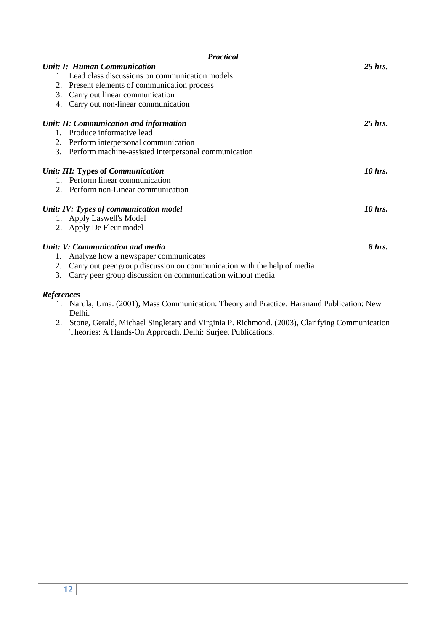|                   | <b>Practical</b>                                                        |           |
|-------------------|-------------------------------------------------------------------------|-----------|
|                   | <b>Unit: I: Human Communication</b>                                     | $25$ hrs. |
|                   | 1. Lead class discussions on communication models                       |           |
|                   | 2. Present elements of communication process                            |           |
|                   | 3. Carry out linear communication                                       |           |
| 4.                | Carry out non-linear communication                                      |           |
|                   | Unit: II: Communication and information                                 | $25$ hrs. |
|                   | 1. Produce informative lead                                             |           |
|                   | 2. Perform interpersonal communication                                  |           |
| 3.                | Perform machine-assisted interpersonal communication                    |           |
|                   | Unit: III: Types of Communication                                       | 10 hrs.   |
|                   | 1. Perform linear communication                                         |           |
|                   | 2. Perform non-Linear communication                                     |           |
|                   | Unit: IV: Types of communication model                                  | 10 hrs.   |
|                   | 1. Apply Laswell's Model                                                |           |
|                   | 2. Apply De Fleur model                                                 |           |
|                   | Unit: V: Communication and media                                        | 8 hrs.    |
| 1.                | Analyze how a newspaper communicates                                    |           |
| 2.                | Carry out peer group discussion on communication with the help of media |           |
| 3.                | Carry peer group discussion on communication without media              |           |
| <b>References</b> |                                                                         |           |

- 1. Narula, Uma. (2001), Mass Communication: Theory and Practice. Haranand Publication: New Delhi.
- 2. Stone, Gerald, Michael Singletary and Virginia P. Richmond. (2003), Clarifying Communication Theories: A Hands-On Approach. Delhi: Surjeet Publications.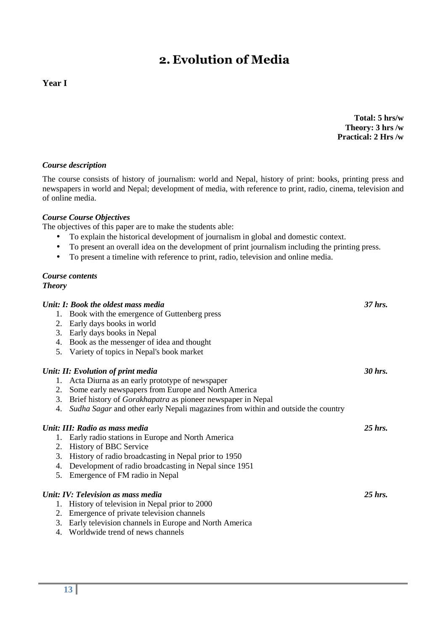## **2. Evolution of Media**

#### **Year I**

**Total: 5 hrs/w Theory: 3 hrs /w Practical: 2 Hrs /w**

#### *Course description*

The course consists of history of journalism: world and Nepal, history of print: books, printing press and newspapers in world and Nepal; development of media, with reference to print, radio, cinema, television and of online media.

#### *Course Course Objectives*

The objectives of this paper are to make the students able:

- To explain the historical development of journalism in global and domestic context.
- To present an overall idea on the development of print journalism including the printing press.
- To present a timeline with reference to print, radio, television and online media.

#### *Course contents Theory*

| Unit: I: Book the oldest mass media                                                                                                                                                                                                                                                              | 37 hrs. |
|--------------------------------------------------------------------------------------------------------------------------------------------------------------------------------------------------------------------------------------------------------------------------------------------------|---------|
| $\mathbf{p}$ and $\mathbf{p}$ and $\mathbf{p}$ and $\mathbf{p}$ and $\mathbf{p}$ and $\mathbf{p}$ and $\mathbf{p}$ and $\mathbf{p}$ and $\mathbf{p}$ and $\mathbf{p}$ and $\mathbf{p}$ and $\mathbf{p}$ and $\mathbf{p}$ and $\mathbf{p}$ and $\mathbf{p}$ and $\mathbf{p}$ and $\mathbf{p}$ and |         |

- 1. Book with the emergence of Guttenberg press
- 2. Early days books in world
- 3. Early days books in Nepal
- 4. Book as the messenger of idea and thought
- 5. Variety of topics in Nepal's book market

#### *Unit: II: Evolution of print media 30 hrs.*

- 1. Acta Diurna as an early prototype of newspaper
- 2. Some early newspapers from Europe and North America
- 3. Brief history of *Gorakhapatra* as pioneer newspaper in Nepal
- 4. *Sudha Sagar* and other early Nepali magazines from within and outside the country

#### *Unit: III: Radio as mass media 25 hrs.*

- 1. Early radio stations in Europe and North America
- 2. History of BBC Service
- 3. History of radio broadcasting in Nepal prior to 1950
- 4. Development of radio broadcasting in Nepal since 1951
- 5. Emergence of FM radio in Nepal

#### *Unit: IV: Television as mass media* 25 hrs. 25 hrs.

- 1. History of television in Nepal prior to 2000
- 2. Emergence of private television channels
- 3. Early television channels in Europe and North America
- 4. Worldwide trend of news channels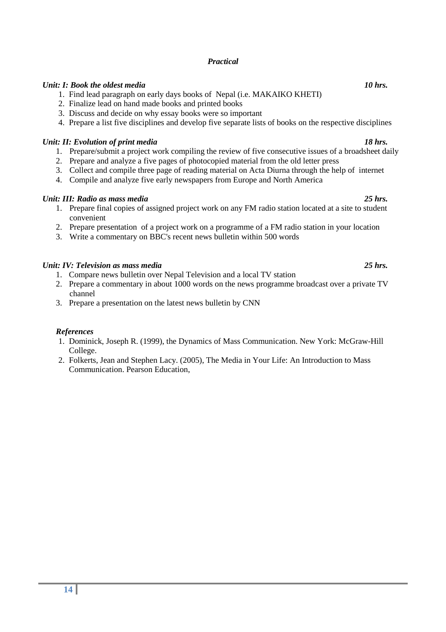#### *Practical*

#### *Unit: I: Book the oldest media* 10 hrs. *IO hrs. IO hrs.*

- 1. Find lead paragraph on early days books of Nepal (i.e. MAKAIKO KHETI)
- 2. Finalize lead on hand made books and printed books
- 3. Discuss and decide on why essay books were so important
- 4. Prepare a list five disciplines and develop five separate lists of books on the respective disciplines

#### *Unit: II: Evolution of print media* 18 hrs. 2008.

- 1. Prepare/submit a project work compiling the review of five consecutive issues of a broadsheet daily
- 2. Prepare and analyze a five pages of photocopied material from the old letter press
- 3. Collect and compile three page of reading material on Acta Diurna through the help of internet
- 4. Compile and analyze five early newspapers from Europe and North America

#### *Unit: III: Radio as mass media 25 hrs.*

- 1. Prepare final copies of assigned project work on any FM radio station located at a site to student convenient
- 2. Prepare presentation of a project work on a programme of a FM radio station in your location
- 3. Write a commentary on BBC's recent news bulletin within 500 words

#### *Unit: IV: Television as mass media 25 hrs.*

- 1. Compare news bulletin over Nepal Television and a local TV station
- 2. Prepare a commentary in about 1000 words on the news programme broadcast over a private TV channel
- 3. Prepare a presentation on the latest news bulletin by CNN

#### *References*

- 1. Dominick, Joseph R. (1999), the Dynamics of Mass Communication. New York: McGraw-Hill College.
- 2. Folkerts, Jean and Stephen Lacy. (2005), The Media in Your Life: An Introduction to Mass Communication. Pearson Education,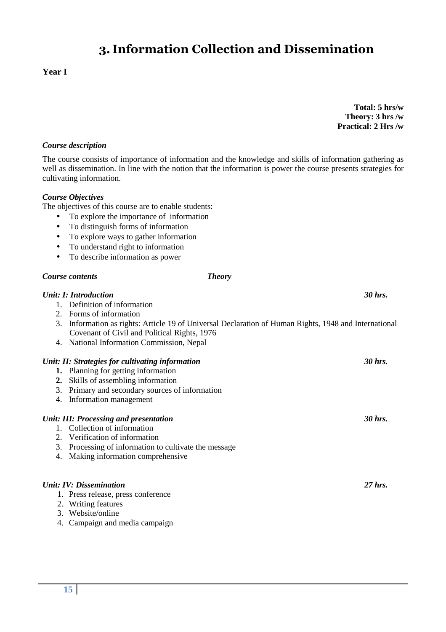## **3. Information Collection and Dissemination**

#### **Year I**

**Total: 5 hrs/w Theory: 3 hrs /w Practical: 2 Hrs /w**

#### *Course description*

The course consists of importance of information and the knowledge and skills of information gathering as well as dissemination. In line with the notion that the information is power the course presents strategies for cultivating information.

#### *Course Objectives*

The objectives of this course are to enable students:

- To explore the importance of information
- To distinguish forms of information
- To explore ways to gather information
- To understand right to information
- To describe information as power

#### *Course contents Theory*

#### *Unit: I: Introduction 30 hrs.*

- 1. Definition of information
- 2. Forms of information
- 3. Information as rights: Article 19 of Universal Declaration of Human Rights, 1948 and International Covenant of Civil and Political Rights, 1976
- 4. National Information Commission, Nepal

#### *Unit: II: Strategies for cultivating information* 30 hrs. 30 hrs.

- **1.** Planning for getting information
- **2.** Skills of assembling information
- 3. Primary and secondary sources of information
- 4. Information management

#### *Unit: III: Processing and presentation* 30 hrs. **30 hrs.** 30 hrs.

- 1. Collection of information
- 2. Verification of information
- 3. Processing of information to cultivate the message
- 4. Making information comprehensive

#### *Unit: IV: Dissemination 27 hrs.*

1. Press release, press conference

- 2. Writing features
- 3. Website/online
- 4. Campaign and media campaign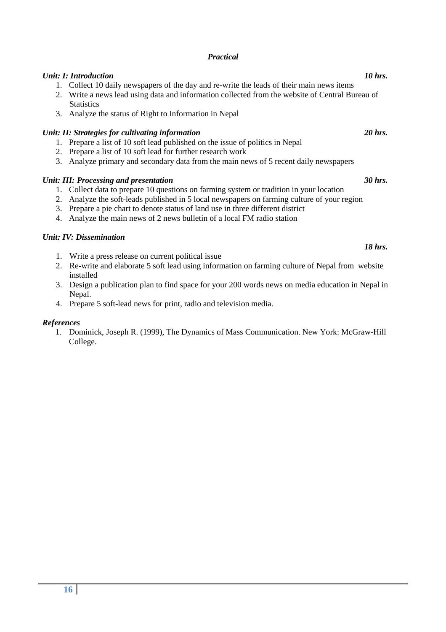#### *Practical*

#### *Unit: I: Introduction* 10 hrs. *IO hrs. IO hrs.*

- 1. Collect 10 daily newspapers of the day and re-write the leads of their main news items
- 2. Write a news lead using data and information collected from the website of Central Bureau of **Statistics**
- 3. Analyze the status of Right to Information in Nepal

#### *Unit: II: Strategies for cultivating information* 20 hrs. 20 hrs.

- 1. Prepare a list of 10 soft lead published on the issue of politics in Nepal
- 2. Prepare a list of 10 soft lead for further research work
- 3. Analyze primary and secondary data from the main news of 5 recent daily newspapers

#### *Unit: III: Processing and presentation* 30 hrs. 30 hrs.

- 1. Collect data to prepare 10 questions on farming system or tradition in your location
- 2. Analyze the soft-leads published in 5 local newspapers on farming culture of your region
- 3. Prepare a pie chart to denote status of land use in three different district
- 4. Analyze the main news of 2 news bulletin of a local FM radio station

#### *Unit: IV: Dissemination*

- 1. Write a press release on current political issue
- 2. Re-write and elaborate 5 soft lead using information on farming culture of Nepal from website installed
- 3. Design a publication plan to find space for your 200 words news on media education in Nepal in Nepal.
- 4. Prepare 5 soft-lead news for print, radio and television media.

#### *References*

1. Dominick, Joseph R. (1999), The Dynamics of Mass Communication. New York: McGraw-Hill College.

*18 hrs.*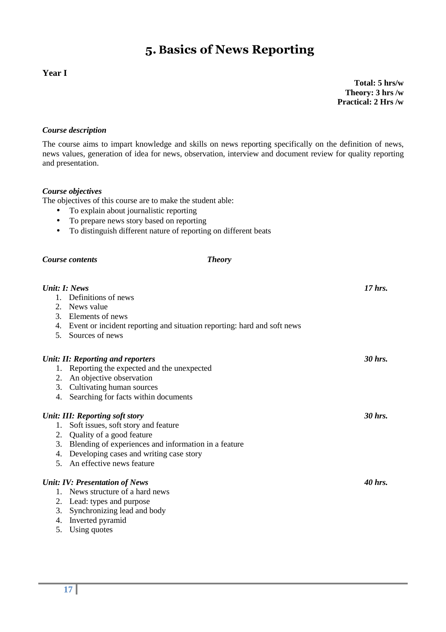## **5. Basics of News Reporting**

### **Year I**

**Total: 5 hrs/w Theory: 3 hrs /w Practical: 2 Hrs /w**

#### *Course description*

The course aims to impart knowledge and skills on news reporting specifically on the definition of news, news values, generation of idea for news, observation, interview and document review for quality reporting and presentation.

#### *Course objectives*

The objectives of this course are to make the student able:

- To explain about journalistic reporting
- To prepare news story based on reporting
- To distinguish different nature of reporting on different beats

#### *Course contents Theory*

| Unit: I: News |                                                                            | $17$ hrs. |
|---------------|----------------------------------------------------------------------------|-----------|
|               | 1. Definitions of news                                                     |           |
|               | 2. News value                                                              |           |
|               | 3. Elements of news                                                        |           |
|               | 4. Event or incident reporting and situation reporting: hard and soft news |           |
| 5.            | Sources of news                                                            |           |
|               | <b>Unit: II: Reporting and reporters</b>                                   | 30 hrs.   |
|               | 1. Reporting the expected and the unexpected                               |           |
|               | 2. An objective observation                                                |           |
|               | 3. Cultivating human sources                                               |           |
| 4.            | Searching for facts within documents                                       |           |
|               | Unit: III: Reporting soft story                                            | 30 hrs.   |
| 1.            | Soft issues, soft story and feature                                        |           |
|               | 2. Quality of a good feature                                               |           |
|               | 3. Blending of experiences and information in a feature                    |           |
|               | 4. Developing cases and writing case story                                 |           |
|               | 5. An effective news feature                                               |           |
|               | <b>Unit: IV: Presentation of News</b>                                      | 40 hrs.   |
|               | News structure of a hard news                                              |           |
|               | 2. Lead: types and purpose                                                 |           |
|               | 3. Synchronizing lead and body                                             |           |
|               | 4. Inverted pyramid                                                        |           |
|               | 5. Using quotes                                                            |           |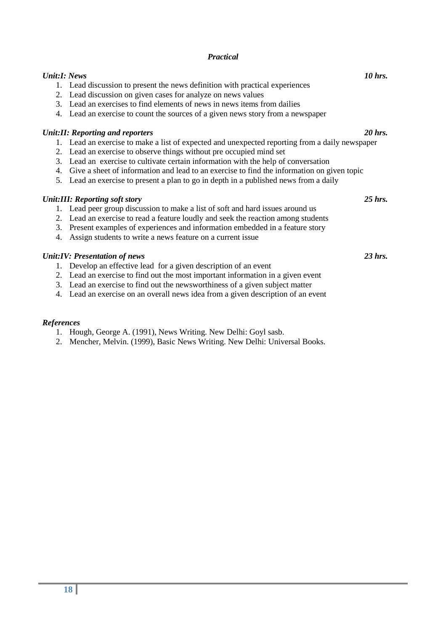#### *Practical*

#### *Unit:I: News* 10 *hrs.* **10** hrs. **10** hrs.

- 1. Lead discussion to present the news definition with practical experiences
- 2. Lead discussion on given cases for analyze on news values
- 3. Lead an exercises to find elements of news in news items from dailies
- 4. Lead an exercise to count the sources of a given news story from a newspaper

#### *Unit:II: Reporting and reporters 20 hrs.*

- 1. Lead an exercise to make a list of expected and unexpected reporting from a daily newspaper
- 2. Lead an exercise to observe things without pre occupied mind set
- 3. Lead an exercise to cultivate certain information with the help of conversation
- 4. Give a sheet of information and lead to an exercise to find the information on given topic
- 5. Lead an exercise to present a plan to go in depth in a published news from a daily

#### *Unit:III: Reporting soft story 25 hrs.*

- 1. Lead peer group discussion to make a list of soft and hard issues around us
- 2. Lead an exercise to read a feature loudly and seek the reaction among students
- 3. Present examples of experiences and information embedded in a feature story
- 4. Assign students to write a news feature on a current issue

#### *Unit:IV: Presentation of news 23 hrs.*

- 1. Develop an effective lead for a given description of an event
- 2. Lead an exercise to find out the most important information in a given event
- 3. Lead an exercise to find out the newsworthiness of a given subject matter
- 4. Lead an exercise on an overall news idea from a given description of an event

#### *References*

- 1. Hough, George A. (1991), News Writing. New Delhi: Goyl sasb.
- 2. Mencher, Melvin. (1999), Basic News Writing. New Delhi: Universal Books.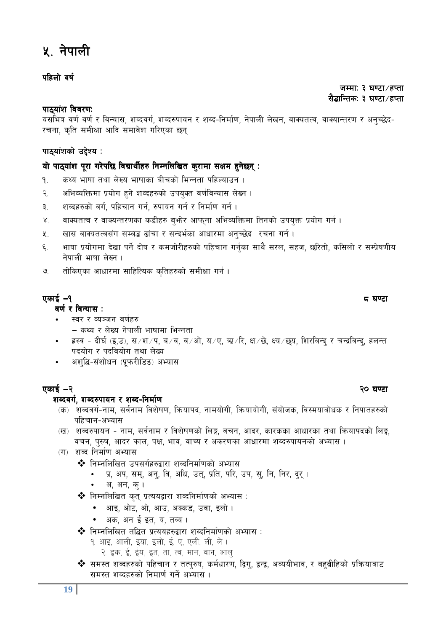## <u>५</u> नेपाली

### *klxnf] jif{ jif{*

#### *hDdfM # 306f÷xKtf hDdfM # 306f÷xKtf ;<br>सैद्धान्तिक: ३ घण्टा ⁄ हप्ता*

#### *kf7\of+z ljj/0fM of+z ljj/0fMof+z ljj/0fM*

यसभित्र वर्ण वर्ण र विन्यास, शब्दवर्ग, शब्दरुपायन र शब्द-निर्माण, नेपाली लेखन, वाक्यतत्व, वाक्यान्तरण र अनच्छेद-*/rgf, s[lt ;dLIff cflb ;dfj]z ul/Psf 5g\* 

### *kf7\of+zsf] p2]Zo M of+zsf] p2]Zo Mof+zsf] M*

### *of] kf7\ kf7\of+z k"/f u/]kl5 ljBfyL{x? of+z k"/f u/]kl5 ljBfyL{x?of+z u/]kl5 ljBfyL{x?lgDglnlvt s'/fdf ;Ifd x'g]5g lgDglnlvt s'/fdf ;Ifd x'g]5glgDglnlvt s'/fdf x'g]5g\M*

- *!= sYo efiff tyf n]Vo efiffsf aLrsf] leGgtf klxNofpg .*
- *@= cleJolQmdf k|of]u x'g] zJbx?sf] pko'St j0f{ljGof; n]Vg .*
- ३. शब्दहरुको वर्ग, पहिचान गर्न, रुपायन गर्न र निर्माण गर्न **।**
- $8j$  ana and a salia and the settled of the context same in the legislation of the settled in the settle settled in the legislation of  $\mu$
- $x_{i,j}$  and analing and the state of the catal and the control of the control of  $\alpha$
- *^= efiff k|of]udf b]vf kg{] bf]if / sdhf]/Lx?sf] klxrfg ug{'sf ;fy} ;/n, ;xh, 5l/tf], sl;nf] / ;Dk|]if0fLo g]kfnL efiff n]Vg .*
- *&= tf]lsPsf cfwf/df ;flxlTos s[ltx?sf] ;dLIff ug{ .*

### *PsfO{* —*! \* 306f*

#### *a***र्ण र विन्यास**:

- **स्वर र व्यञ्जन वर्णहरु** 
	- — *sYo / n]Vo g]kfnL efiffdf leGgtf*
- ह्रस्व दीर्घ (इ,उ), स ⁄श ⁄प, ब ⁄व, व ⁄ओ, य ⁄ए, ऋ ⁄रि, क्ष ⁄छे, क्ष्य ∕ छय, शिरबिन्द र चन्द्रविन्द, हलन्त *पदयोग र पदवियोग तथा लेख्य*
- अशद्धि-संशोधन (प्रूफरीडिङ) अभ्यास

### *PsfO{* —*@ @) 306f 306f*

#### *zAbju{, zAb?kfog / zAb– zAbju{, zAb?kfog / zAb–lgdf{0f lgdf{0f lgdf{0f*

- *(क) शब्दवर्ग-नाम, सर्वनाम विशेषण, कियापद, नामयोगी, कियायोगी, संयोजक, विस्मयाबोधक र निपातहरुको* पहिचान-अभ्यास
- *(*ख) शब्दरुपायन नाम, सर्वनाम र विशेषणको लिङ्ग, वचन, आदर, कारकका आधारका तथा कियापदको लिङ्ग, वचन, पुरुष, आदर काल, पक्ष, भाव, वाच्य र अकरणका आधारमा शब्दरुपायनको अभ्यास ।
- (ग) शब्द निर्माण अभ्यास
	- $\Leftrightarrow$  निम्नलिखित उपसर्गहरुद्वारा शब्दनिर्माणको अभ्यास
		- प्र, अप, सम्, अन्, वि, अधि, उत्, प्रति, परि, उप, स्, नि, निर, द्**र** ।
		- *c, cg, s' .*
	- $\clubsuit$  निम्नलिखित कुतु प्रत्ययद्वारा शब्दनिर्माणको अभ्यास :
		- *cfO, cf]6, cf], cfp, cSs8, pjf, Onf] .*
		- अक, अन ई इत, य, तव्य ।
	- **\*** निम्नलिखित तद्धित प्रत्ययहरुद्वारा शब्दनिर्माणको अभ्यास :
		- 9. आइ, आली, इया, इलो, ई, ए, एली, ली, ले।
		- २. इक, ई, ईय, इत, ता, त्व, मान, वान, आल्
	- <u>❖ समस्त शब्दहरुको पहिचान र तत्परुष, कर्मधारण, द्विग, द्वन्द्व, अव्ययीभाव, र बहब्रीहिको प्रक्रियाबाट</u> *समस्त शब्दहरुको निमार्ण गर्ने अभ्यास।*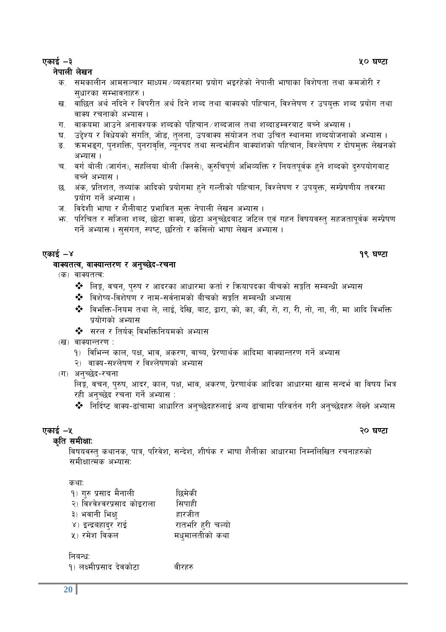### *PsfO{* —*# %) 306f 306f*

#### *g]kfnL n]vg n]vg*

- *क.* समकालीन आमसञ्चार माध्यम ⁄ व्यवहारमा प्रयोग भइरहेको नेपाली भाषाका विशेषता तथा कमजोरी र *सुधारका सम्भावनाहरु।*
- *ख. वांछि*त अर्थ नदिने र विपरीत अर्थ दिने शब्द तथा वाक्यको पहिचान, विश्लेषण र उपयुक्त शब्द प्रयोग तथा *वाक्य रचनाको अभ्यास ।*
- *ग. वाकयमा आउने अनावश्यक शब्दको पहिचान /शब्द*जाल तथा शब्दाडम्वरबाट बच्ने अभ्यास ।
- घ. उद्देश्य र विधेयको संगति, जोड, तुलना, उपवाक्य संयोजन तथा उचित स्थानमा शब्दयोजनाको अभ्यास ।
- ङ. कमभङ्ग, पुनशक्ति, पुनरावृत्ति, न्युनपद तथा सन्दर्भहीन वाक्यांशको पहिचान, विश्लेषण र दोषमुक्त लेखनको अभ्यास ।
- च. वर्ग बोली (जार्गन), सहलिया बोली (क्लिसे), कुरुचिपुर्ण अभिव्यक्ति र नियतपुर्वक हुने शब्दको दुरुपयोगबाट बच्ने अभ्यास।
- *5= c+s, k|ltzt, tYof+s cflbsf] k|of]udf x'g] uNtLsf] klxrfg, ljZn]if0f / pko'Qm, ;Dk|]if0fLo tj/df k|of]u ug{] cEof; .*
- ज. विदेशी भाषा र शैलीबाट प्रभावित मुक्त नेपाली लेखन अभ्यास ।
- *em= kl/lrt / ;lhnf zAb, 5f]6f jfSo, 5f]6f cg'R5]baf6 hl6n Pj+ uxg ljifoj:t' ;xhtfk"j{s ;Dk|]if0f*  गर्ने अभ्यास । सुसंगत, स्पष्ट, छरितो र कसिलो भाषा लेखन अभ्यास ।

### *Psformal and the contract of the contract of the contract of the contract of the contract of the contract of the contract of the contract of the contract of the contract of the contract of the contract of the contract of*

#### *jfSotTj, jfSofGt/0f / cg'R5]b– jfSotTj, jfSofGt/0f / cg'R5]b–/rgf*

- *(क)* वाक्यतत्व:
	- ❖ लिङ्ग, वचन, पुरुष र आदरका आधारमा कर्ता र कियापदका बीचको सङ्गति सम्बन्धी अभ्यास
	- **\*** विशेष्य-विशेषण र नाम-सर्वनामको बीचको सङ्गति सम्बन्धी अभ्यास
	- $\clubsuit$  विभक्ति-नियम तथा ले, लाई, देखि, बाट, द्वारा, को, का, की, रो, रा, री, नो, ना, नी, मा आदि विभक्ति *yajnai अभ्यास*
	- *❖* सरल र तिर्यक् विभक्तिनियमको अभ्यास
- *(ख)* वाक्यान्तरण :
	- *!\_ ljleGg sfn, kIf, efj, cs/0f, jfRo, k|]/0ffy{s cflbdf jfSofGt/0f ug]{ cEof;*
	- २) वाक्य-सश्लेषण र विश्लेषणको अभ्यास
- $(T)$  अनच्छेद-रचना

*लि*ङ्ग, वचन, पुरुष, आदर, काल, पक्ष, भाव, अकरण, प्रेरणार्थक आदिका आधारमा खास सन्दर्भ वा विषय भित्र रही अनच्छेद रचना गर्ने अभ्यास :

❖ निर्दिष्ट वाक्य-ढांचामा आधारित अनुच्छेदहरुलाई अन्य ढांचामा परिवर्तन गरी अनुच्छेदहरु लेख्ने अभ्यास

### *PsfO{* —*% @)306f*

*र्कात समीक्षा:* विषयवस्त् कथानक, पात्र, परिवेश, सन्देश, शीर्षक र भाषा शैलीका आधारमा निम्नलिखित रचनाहरुको *;dLIffTds cEof;M* 

कथा<sup>.</sup>

| १) गुरु प्रसाद मैनाली       | छिमेकी           |
|-----------------------------|------------------|
| २) विश्वेश्वरप्रसाद कोइराला | सिपाही           |
| ३) भवानी भिक्ष्             | हारजीत           |
| ४) इन्द्रबहादुर राई         | रातभरि हरी चल्यो |
| ५) रमेश विकल                | मधुमालतीको कथा   |
|                             |                  |

तिबन्ध:

|  | १) लक्ष्मीप्रसाद देवकोटा |  | वीरहरु |
|--|--------------------------|--|--------|
|--|--------------------------|--|--------|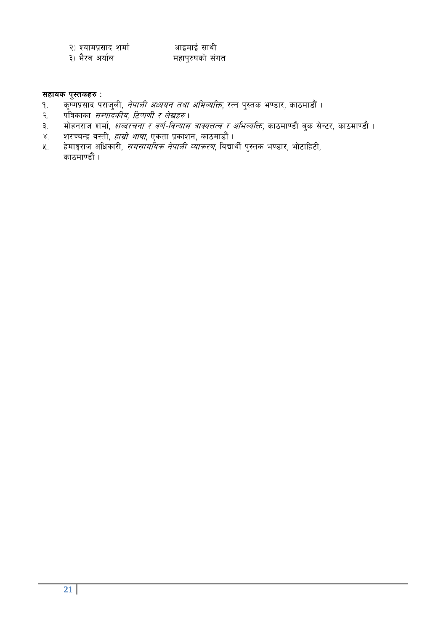| २) श्यामप्रसाद शर्मा | आइमाई साथी      |
|----------------------|-----------------|
| ३) भैरव अर्याल       | महापुरुषको संगत |

- *;***<br>सहायक पुस्तकहरु :<br>१. कृष्णप्रसाद पर्** १. कृष्णप्रसाद पराजुली, *नेपाली अध्ययन तथा अभिव्यक्ति*, रत्न पुस्तक भण्डार, काठमाडौं । .
- २. पत्रिकाका *सम्पादकीय, टिप्पणी र लेखहरु* ।
- a.<br>३. मोहनराज शर्मा, *शब्दरचना र वर्ण-विन्यास वाक्यत्तत्व र अभिव्यक्ति*, काठमाण्डौ बुक सेन्टर, काठमाण्डौ ।
- ४. शरच्चन्द्र वस्ती, *हाम्रो भाषा*, एकता प्रकाशन, काठमाडौं ।
- *%= x]dfË/fh clwsf/L, ;d;fdlos g]kfnL Jofs/0f, ljBfyL{ k':ts e08f/, ef]6flx6L, sf7df08f}+ .*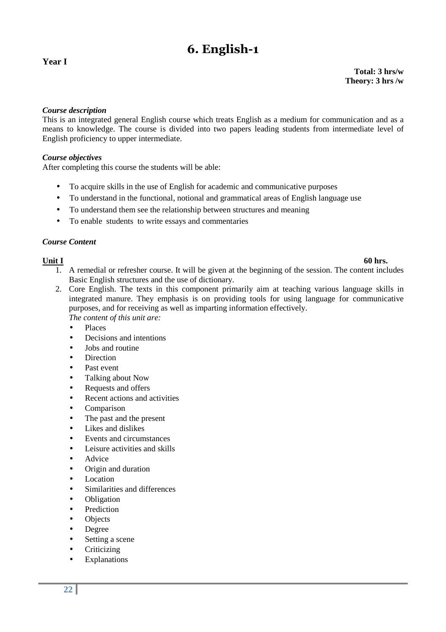## **6. English-1**

#### **Year I**

**Total: 3 hrs/w Theory: 3 hrs /w** 

#### *Course description*

This is an integrated general English course which treats English as a medium for communication and as a means to knowledge. The course is divided into two papers leading students from intermediate level of English proficiency to upper intermediate.

#### *Course objectives*

After completing this course the students will be able:

- To acquire skills in the use of English for academic and communicative purposes
- To understand in the functional, notional and grammatical areas of English language use
- To understand them see the relationship between structures and meaning
- To enable students to write essays and commentaries

#### *Course Content*

- 1. A remedial or refresher course. It will be given at the beginning of the session. The content includes Basic English structures and the use of dictionary.
- 2. Core English. The texts in this component primarily aim at teaching various language skills in integrated manure. They emphasis is on providing tools for using language for communicative purposes, and for receiving as well as imparting information effectively. *The content of this unit are:* 
	- Places
	- Decisions and intentions
	- Jobs and routine
	- **Direction**
	- Past event
	- Talking about Now
	- Requests and offers
	- Recent actions and activities
	- Comparison
	- The past and the present
	- Likes and dislikes
	- Events and circumstances
	- Leisure activities and skills
	- **Advice**
	- Origin and duration
	- Location
	- Similarities and differences
	- Obligation
	- **Prediction**
	- **Objects**
	- Degree
	- Setting a scene
	- **Criticizing**
	- **Explanations**

#### **Unit I 60 hrs.**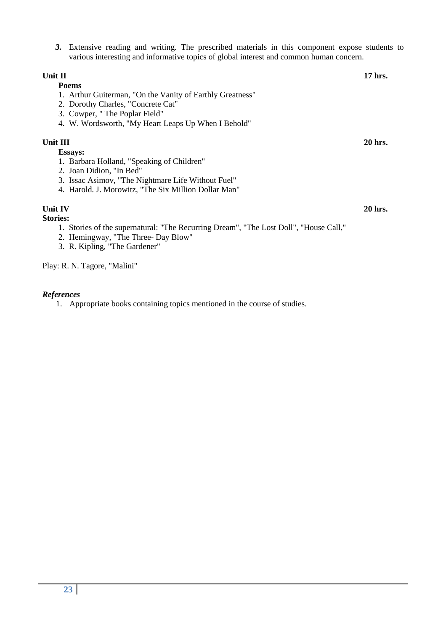*3.* Extensive reading and writing. The prescribed materials in this component expose students to various interesting and informative topics of global interest and common human concern.

### **Unit II** 17 hrs. **Poems**  1. Arthur Guiterman, "On the Vanity of Earthly Greatness" 2. Dorothy Charles, "Concrete Cat" 3. Cowper, " The Poplar Field" 4. W. Wordsworth, "My Heart Leaps Up When I Behold" **Unit III** 20 hrs.  **Essays:**  1. Barbara Holland, "Speaking of Children" 2. Joan Didion, "In Bed" 3. Issac Asimov, "The Nightmare Life Without Fuel" 4. Harold. J. Morowitz, "The Six Million Dollar Man"

#### **Unit IV** 20 hrs.

#### **Stories:**

- 1. Stories of the supernatural: "The Recurring Dream", "The Lost Doll", "House Call,"
- 2. Hemingway, "The Three- Day Blow"
- 3. R. Kipling, "The Gardener"

Play: R. N. Tagore, "Malini"

#### *References*

1. Appropriate books containing topics mentioned in the course of studies.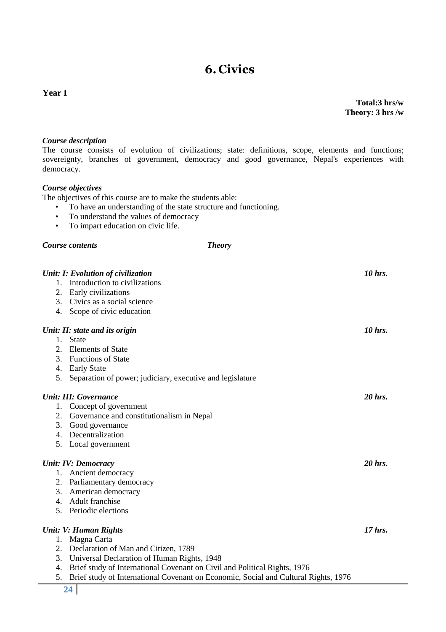#### **Year I**

**Total:3 hrs/w Theory: 3 hrs /w** 

#### *Course description*

The course consists of evolution of civilizations; state: definitions, scope, elements and functions; sovereignty, branches of government, democracy and good governance, Nepal's experiences with democracy.

#### *Course objectives*

The objectives of this course are to make the students able:

- To have an understanding of the state structure and functioning.
- To understand the values of democracy<br>• To impart education on civic life.
- To impart education on civic life.

#### *Course contents Theory*

| Introduction to civilizations<br>1.<br>Early civilizations<br>2.                                                                                                       |           |
|------------------------------------------------------------------------------------------------------------------------------------------------------------------------|-----------|
|                                                                                                                                                                        |           |
|                                                                                                                                                                        |           |
| Civics as a social science<br>3.                                                                                                                                       |           |
| 4. Scope of civic education                                                                                                                                            |           |
| Unit: II: state and its origin                                                                                                                                         | 10 hrs.   |
| <b>State</b><br>1.                                                                                                                                                     |           |
| 2.<br><b>Elements of State</b>                                                                                                                                         |           |
| <b>Functions of State</b><br>3.                                                                                                                                        |           |
| <b>Early State</b><br>4.                                                                                                                                               |           |
| 5.<br>Separation of power; judiciary, executive and legislature                                                                                                        |           |
| <b>Unit: III: Governance</b>                                                                                                                                           | 20 hrs.   |
| Concept of government<br>1.                                                                                                                                            |           |
| Governance and constitutionalism in Nepal<br>2.                                                                                                                        |           |
| 3.<br>Good governance                                                                                                                                                  |           |
| Decentralization<br>$\mathbf{4}$ .                                                                                                                                     |           |
| Local government<br>5.                                                                                                                                                 |           |
| <b>Unit: IV: Democracy</b>                                                                                                                                             | 20 hrs.   |
| Ancient democracy<br>1.                                                                                                                                                |           |
| Parliamentary democracy<br>2.                                                                                                                                          |           |
| American democracy<br>3.                                                                                                                                               |           |
| 4. Adult franchise                                                                                                                                                     |           |
| Periodic elections<br>$5_{-}$                                                                                                                                          |           |
|                                                                                                                                                                        | $17$ hrs. |
| <b>Unit: V: Human Rights</b>                                                                                                                                           |           |
| Magna Carta<br>1.                                                                                                                                                      |           |
| Declaration of Man and Citizen, 1789<br>2.<br>3.                                                                                                                       |           |
| Universal Declaration of Human Rights, 1948<br>4.                                                                                                                      |           |
| Brief study of International Covenant on Civil and Political Rights, 1976<br>5.<br>Brief study of International Covenant on Economic, Social and Cultural Rights, 1976 |           |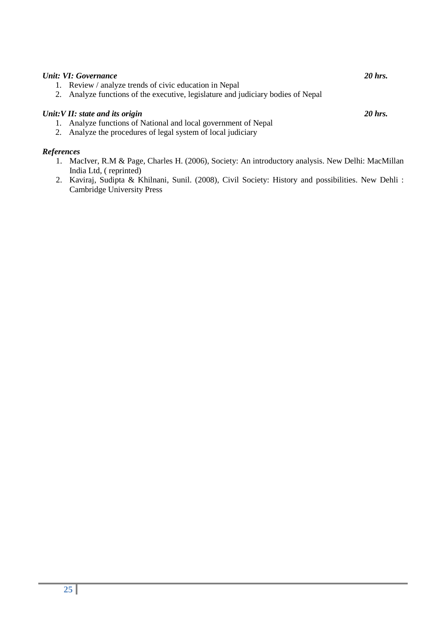| Unit: VI: Governance                                                                                                                                               | 20 hrs. |
|--------------------------------------------------------------------------------------------------------------------------------------------------------------------|---------|
| 1. Review / analyze trends of civic education in Nepal                                                                                                             |         |
| 2. Analyze functions of the executive, legislature and judiciary bodies of Nepal                                                                                   |         |
| Unit: V II: state and its origin<br>1. Analyze functions of National and local government of Nepal<br>2. Analyze the procedures of legal system of local judiciary | 20 hrs. |

#### *References*

- 1. MacIver, R.M & Page, Charles H. (2006), Society: An introductory analysis. New Delhi: MacMillan India Ltd, ( reprinted)
- 2. Kaviraj, Sudipta & Khilnani, Sunil. (2008), Civil Society: History and possibilities. New Dehli : Cambridge University Press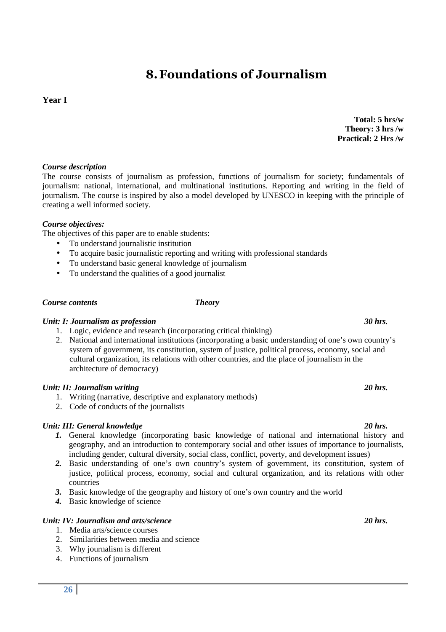## **8.Foundations of Journalism**

### **Year I**

### *Course description*

The course consists of journalism as profession, functions of journalism for society; fundamentals of journalism: national, international, and multinational institutions. Reporting and writing in the field of journalism. The course is inspired by also a model developed by UNESCO in keeping with the principle of creating a well informed society.

### *Course objectives:*

The objectives of this paper are to enable students:

- To understand journalistic institution
- To acquire basic journalistic reporting and writing with professional standards
- To understand basic general knowledge of journalism
- To understand the qualities of a good journalist

### *Course contents Theory*

### *Unit: I: Journalism as profession 30 hrs.*

- 1. Logic, evidence and research (incorporating critical thinking)
- 2. National and international institutions (incorporating a basic understanding of one's own country's system of government, its constitution, system of justice, political process, economy, social and cultural organization, its relations with other countries, and the place of journalism in the architecture of democracy)

### *Unit: II: Journalism writing 20 hrs.*

- 1. Writing (narrative, descriptive and explanatory methods)
- 2. Code of conducts of the journalists

### *Unit: III: General knowledge* 20 hrs.

- *1.* General knowledge (incorporating basic knowledge of national and international history and geography, and an introduction to contemporary social and other issues of importance to journalists, including gender, cultural diversity, social class, conflict, poverty, and development issues)
- *2.* Basic understanding of one's own country's system of government, its constitution, system of justice, political process, economy, social and cultural organization, and its relations with other countries
- *3.* Basic knowledge of the geography and history of one's own country and the world
- *4.* Basic knowledge of science

### *Unit: IV: Journalism and arts/science 20 hrs.*

- 1. Media arts/science courses
- 2. Similarities between media and science
- 3. Why journalism is different
- 4. Functions of journalism

#### **Total: 5 hrs/w Theory: 3 hrs /w Practical: 2 Hrs /w**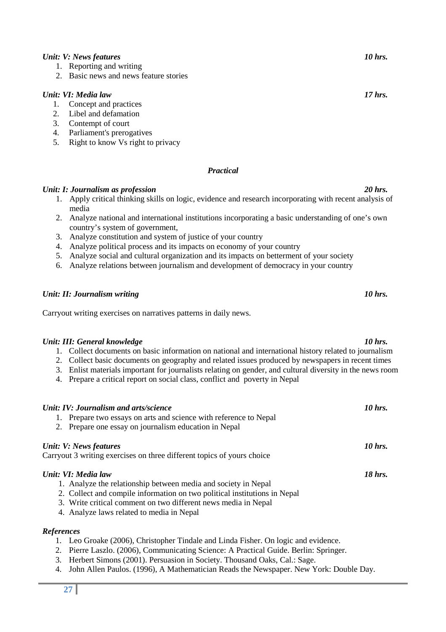#### *Unit: V: News features* 10 *hrs.* **10** hrs. **10** hrs.

- 1. Reporting and writing
- 2. Basic news and news feature stories

#### *Unit: VI: Media law* 17 *hrs.* **17** hrs. **17** hrs.

- 1. Concept and practices<br>2. Libel and defamation
- Libel and defamation
- 3. Contempt of court
- 4. Parliament's prerogatives
- 5. Right to know Vs right to privacy

#### *Practical*

#### *Unit: I: Journalism as profession 20 hrs.*

- 1. Apply critical thinking skills on logic, evidence and research incorporating with recent analysis of media
- 2. Analyze national and international institutions incorporating a basic understanding of one's own country's system of government,
- 3. Analyze constitution and system of justice of your country
- 4. Analyze political process and its impacts on economy of your country
- 5. Analyze social and cultural organization and its impacts on betterment of your society
- 6. Analyze relations between journalism and development of democracy in your country

#### *Unit: II: Journalism writing* 10 hrs.

Carryout writing exercises on narratives patterns in daily news.

#### *Unit: III: General knowledge* 10 hrs. *10 hrs.* **10 hrs. 10 hrs.**

- 1. Collect documents on basic information on national and international history related to journalism
- 2. Collect basic documents on geography and related issues produced by newspapers in recent times
- 3. Enlist materials important for journalists relating on gender, and cultural diversity in the news room
- 4. Prepare a critical report on social class, conflict and poverty in Nepal

| Unit: IV: Journalism and arts/science<br>1. Prepare two essays on arts and science with reference to Nepal<br>2. Prepare one essay on journalism education in Nepal                                                                                                                | 10 hrs. |
|------------------------------------------------------------------------------------------------------------------------------------------------------------------------------------------------------------------------------------------------------------------------------------|---------|
| Unit: V: News features<br>Carryout 3 writing exercises on three different topics of yours choice                                                                                                                                                                                   | 10 hrs. |
| Unit: VI: Media law<br>1. Analyze the relationship between media and society in Nepal<br>2. Collect and compile information on two political institutions in Nepal<br>3. Write critical comment on two different news media in Nepal<br>4. Analyze laws related to media in Nepal. | 18 hrs. |
| <b>References</b>                                                                                                                                                                                                                                                                  |         |

- 1. Leo Groake (2006), Christopher Tindale and Linda Fisher. On logic and evidence.
- 2. Pierre Laszlo. (2006), Communicating Science: A Practical Guide. Berlin: Springer.
- 3. Herbert Simons (2001). Persuasion in Society. Thousand Oaks, Cal.: Sage.
- 4. John Allen Paulos. (1996), A Mathematician Reads the Newspaper. New York: Double Day.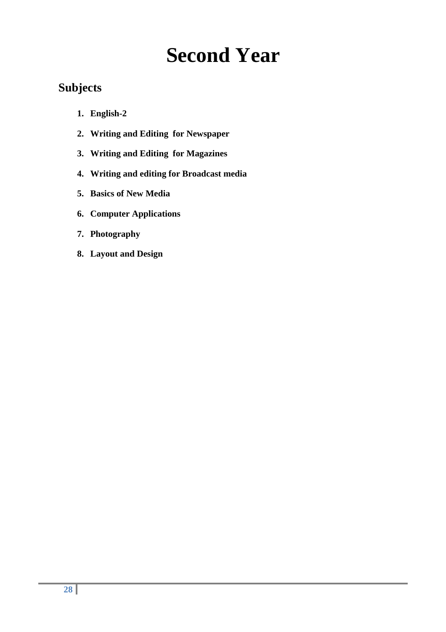# **Second Year**

## **Subjects**

- **1. English-2**
- **2. Writing and Editing for Newspaper**
- **3. Writing and Editing for Magazines**
- **4. Writing and editing for Broadcast media**
- **5. Basics of New Media**
- **6. Computer Applications**
- **7. Photography**
- **8. Layout and Design**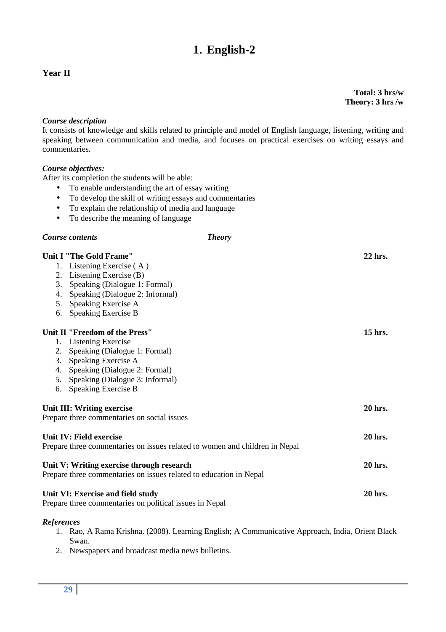## **1. English-2**

### **Year II**

**Total: 3 hrs/w Theory: 3 hrs /w** 

#### *Course description*

It consists of knowledge and skills related to principle and model of English language, listening, writing and speaking between communication and media, and focuses on practical exercises on writing essays and commentaries.

#### *Course objectives:*

After its completion the students will be able:

- To enable understanding the art of essay writing
- To develop the skill of writing essays and commentaries
- To explain the relationship of media and language
- To describe the meaning of language

#### *Course contents Theory*

### **Unit I "The Gold Frame" 22 hrs.**  1. Listening Exercise ( A ) 2. Listening Exercise (B) 3. Speaking (Dialogue 1: Formal) 4. Speaking (Dialogue 2: Informal) 5. Speaking Exercise A 6. Speaking Exercise B Unit II "Freedom of the Press" 3.15 hrs. **15 hrs. 15 hrs. 15 hrs. 15 hrs. 15 hrs. 15 hrs. 15 hrs. 15 hrs. 15 hrs. 15 hrs. 15 hrs. 15 hrs. 15 hrs. 15 hrs. 15 hrs. 15 hrs. 15 hrs. 15 hrs.** 1. Listening Exercise 2. Speaking (Dialogue 1: Formal) 3. Speaking Exercise A 4. Speaking (Dialogue 2: Formal) 5. Speaking (Dialogue 3: Informal) 6. Speaking Exercise B Unit III: Writing exercise 20 hrs. **20 hrs.** 20 hrs. Prepare three commentaries on social issues **Unit IV: Field exercise 20 hrs.**  Prepare three commentaries on issues related to women and children in Nepal **Unit V: Writing exercise through research 20 hrs.**  Prepare three commentaries on issues related to education in Nepal Unit VI: Exercise and field study 20 hrs. **20 hrs.**

Prepare three commentaries on political issues in Nepal

#### *References*

- 1. Rao, A Rama Krishna. (2008). Learning English; A Communicative Approach, India, Orient Black Swan.
- 2. Newspapers and broadcast media news bulletins.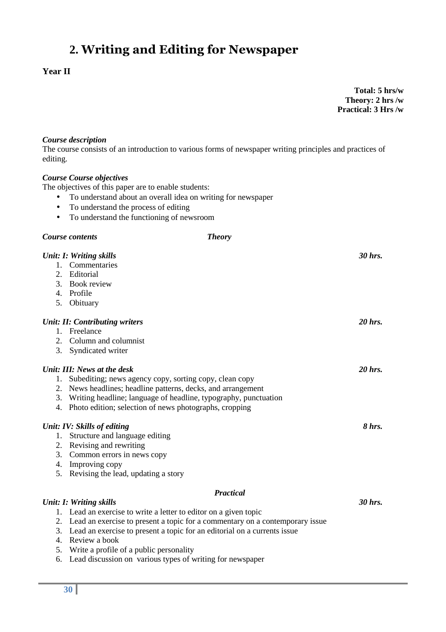## **2. Writing and Editing for Newspaper**

### **Year II**

**Total: 5 hrs/w Theory: 2 hrs /w Practical: 3 Hrs /w**

#### *Course description*

The course consists of an introduction to various forms of newspaper writing principles and practices of editing.

#### *Course Course objectives*

The objectives of this paper are to enable students:

- To understand about an overall idea on writing for newspaper
- To understand the process of editing
- To understand the functioning of newsroom

#### *Course contents Theory*

|         | Unit: I: Writing skills                                                         | 30 hrs.   |
|---------|---------------------------------------------------------------------------------|-----------|
|         | 1. Commentaries                                                                 |           |
| 2.      | Editorial                                                                       |           |
|         | 3. Book review                                                                  |           |
|         | 4. Profile                                                                      |           |
|         | 5. Obituary                                                                     |           |
|         | <b>Unit: II: Contributing writers</b>                                           | 20 hrs.   |
| 1.      | Freelance                                                                       |           |
| $2_{-}$ | Column and columnist                                                            |           |
| 3.      | Syndicated writer                                                               |           |
|         | Unit: III: News at the desk                                                     | $20$ hrs. |
| 1.      | Subediting; news agency copy, sorting copy, clean copy                          |           |
| 2.      | News headlines; headline patterns, decks, and arrangement                       |           |
| 3.      | Writing headline; language of headline, typography, punctuation                 |           |
| 4.      | Photo edition; selection of news photographs, cropping                          |           |
|         | Unit: IV: Skills of editing                                                     | 8 hrs.    |
|         | 1. Structure and language editing                                               |           |
|         | 2. Revising and rewriting                                                       |           |
| 3.      | Common errors in news copy                                                      |           |
| 4.      | Improving copy                                                                  |           |
| 5.      | Revising the lead, updating a story                                             |           |
|         | <b>Practical</b>                                                                |           |
|         | <b>Unit: I: Writing skills</b>                                                  | 30 hrs.   |
|         | 1. Lead an exercise to write a letter to editor on a given topic                |           |
|         | 2. Lead an exercise to present a topic for a commentary on a contemporary issue |           |
| 3.      | Lead an exercise to present a topic for an editorial on a currents issue        |           |
| 4.      | Review a book                                                                   |           |
| 5.      | Write a profile of a public personality                                         |           |
| 6.      | Lead discussion on various types of writing for newspaper                       |           |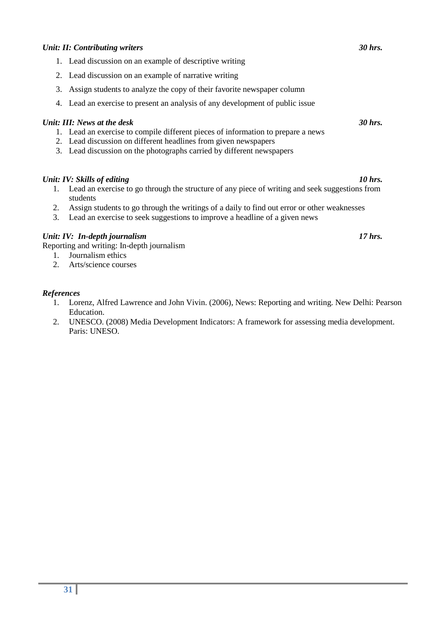#### *Unit: II: Contributing writers 30 hrs.*

- 1. Lead discussion on an example of descriptive writing
- 2. Lead discussion on an example of narrative writing
- 3. Assign students to analyze the copy of their favorite newspaper column
- 4. Lead an exercise to present an analysis of any development of public issue

#### *Unit: III: News at the desk* 30 hrs. **30 hrs. 30 hrs. 30 hrs. 30 hrs. 30 hrs. 30 hrs. 30 hrs. 30 hrs. 30 hrs. 30 hrs. 30 hrs. 30 hrs. 30 hrs. 30 hrs. 30 hrs. 30 hrs. 30 hrs. 30 hrs. 30**

- 1. Lead an exercise to compile different pieces of information to prepare a news
- 2. Lead discussion on different headlines from given newspapers
- 3. Lead discussion on the photographs carried by different newspapers

#### *Unit: IV: Skills of editing* 10 hrs. *10 hrs.* **10 hrs.**

- 1. Lead an exercise to go through the structure of any piece of writing and seek suggestions from students
- 2. Assign students to go through the writings of a daily to find out error or other weaknesses
- 3. Lead an exercise to seek suggestions to improve a headline of a given news

#### *Unit: IV: In-depth journalism 17 hrs.*

Reporting and writing: In-depth journalism

- 1. Journalism ethics
- 2. Arts/science courses

#### *References*

- 1. Lorenz, Alfred Lawrence and John Vivin. (2006), News: Reporting and writing. New Delhi: Pearson Education.
- 2. UNESCO. (2008) Media Development Indicators: A framework for assessing media development. Paris: UNESO.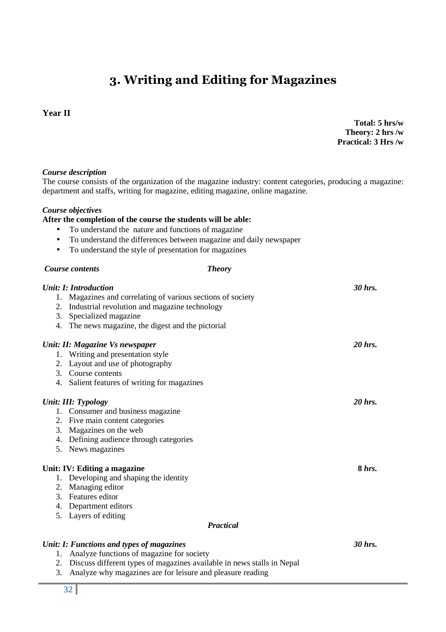## **3. Writing and Editing for Magazines**

#### **Year II**

**Total: 5 hrs/w Theory: 2 hrs /w Practical: 3 Hrs /w**

#### *Course description*

The course consists of the organization of the magazine industry: content categories, producing a magazine: department and staffs, writing for magazine, editing magazine, online magazine.

#### *Course objectives*

#### **After the completion of the course the students will be able:**

- To understand the nature and functions of magazine
- To understand the differences between magazine and daily newspaper
- To understand the style of presentation for magazines

#### *Course contents Theory*

|    | Unit: I: Introduction                                       | 30 hrs.  |
|----|-------------------------------------------------------------|----------|
|    | 1. Magazines and correlating of various sections of society |          |
|    | 2. Industrial revolution and magazine technology            |          |
| 3. | Specialized magazine                                        |          |
|    | 4. The news magazine, the digest and the pictorial          |          |
|    | Unit: II: Magazine Vs newspaper                             | 20 hrs.  |
|    | 1. Writing and presentation style                           |          |
|    | 2. Layout and use of photography                            |          |
|    | 3. Course contents                                          |          |
|    | 4. Salient features of writing for magazines                |          |
|    | Unit: III: Typology                                         | 20 hrs.  |
|    | 1. Consumer and business magazine                           |          |
|    | 2. Five main content categories                             |          |
|    | 3. Magazines on the web                                     |          |
|    | 4. Defining audience through categories                     |          |
|    | 5. News magazines                                           |          |
|    | Unit: IV: Editing a magazine                                | $8$ hrs. |
|    | 1. Developing and shaping the identity                      |          |
|    | 2. Managing editor                                          |          |
|    | 3. Features editor                                          |          |
|    | 4. Department editors                                       |          |
|    | 5. Layers of editing                                        |          |
|    | <b>Practical</b>                                            |          |
|    | Unit: I: Functions and types of magazines                   | 30 hrs.  |
|    | 1. Analyze functions of magazine for society                |          |

- 2. Discuss different types of magazines available in news stalls in Nepal
- 3. Analyze why magazines are for leisure and pleasure reading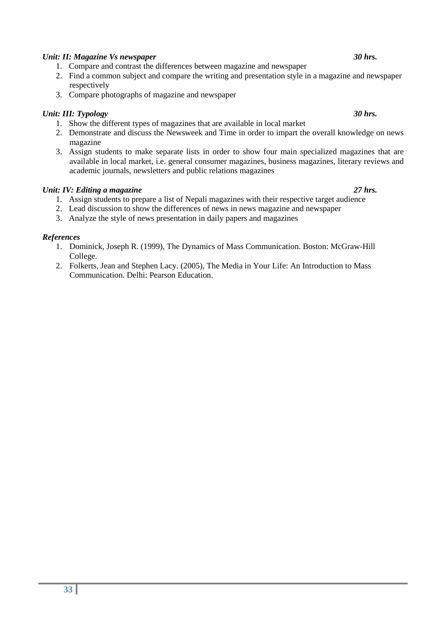#### *Unit: II: Magazine Vs newspaper* 30 hrs. **30 hrs.** 30 hrs.

- 1. Compare and contrast the differences between magazine and newspaper
- 2. Find a common subject and compare the writing and presentation style in a magazine and newspaper respectively
- 3. Compare photographs of magazine and newspaper

#### *Unit: III: Typology 30 hrs.*

- 1. Show the different types of magazines that are available in local market
- 2. Demonstrate and discuss the Newsweek and Time in order to impart the overall knowledge on news magazine
- 3. Assign students to make separate lists in order to show four main specialized magazines that are available in local market, i.e. general consumer magazines, business magazines, literary reviews and academic journals, newsletters and public relations magazines

#### *Unit: IV: Editing a magazine* 27 hrs.

- 1. Assign students to prepare a list of Nepali magazines with their respective target audience
- 2. Lead discussion to show the differences of news in news magazine and newspaper
- 3. Analyze the style of news presentation in daily papers and magazines

#### *References*

- 1. Dominick, Joseph R. (1999), The Dynamics of Mass Communication. Boston: McGraw-Hill College.
- 2. Folkerts, Jean and Stephen Lacy. (2005), The Media in Your Life: An Introduction to Mass Communication. Delhi: Pearson Education.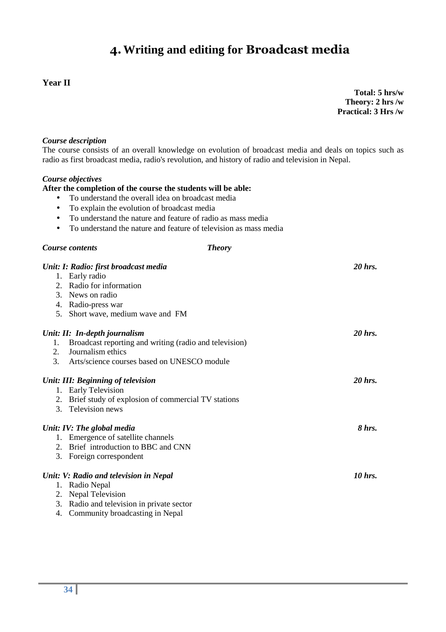## **4.Writing and editing for Broadcast media**

#### **Year II**

**Total: 5 hrs/w Theory: 2 hrs /w Practical: 3 Hrs /w**

#### *Course description*

The course consists of an overall knowledge on evolution of broadcast media and deals on topics such as radio as first broadcast media, radio's revolution, and history of radio and television in Nepal.

#### *Course objectives*

#### **After the completion of the course the students will be able:**

- To understand the overall idea on broadcast media
- To explain the evolution of broadcast media
- To understand the nature and feature of radio as mass media
- To understand the nature and feature of television as mass media

#### *Course contents Theory*

|    | Unit: I: Radio: first broadcast media                  | 20 hrs. |
|----|--------------------------------------------------------|---------|
|    | 1. Early radio                                         |         |
| 2. | Radio for information                                  |         |
| 3. | News on radio                                          |         |
| 4. | Radio-press war                                        |         |
|    | 5. Short wave, medium wave and FM                      |         |
|    | Unit: II: In-depth journalism                          | 20 hrs. |
| 1. | Broadcast reporting and writing (radio and television) |         |
| 2. | Journalism ethics                                      |         |
| 3. | Arts/science courses based on UNESCO module            |         |
|    | Unit: III: Beginning of television                     | 20 hrs. |
|    | 1. Early Television                                    |         |
| 2. | Brief study of explosion of commercial TV stations     |         |
| 3. | Television news                                        |         |
|    | Unit: IV: The global media                             | 8 hrs.  |
| 1. | Emergence of satellite channels                        |         |
| 2. | Brief introduction to BBC and CNN                      |         |
| 3. | Foreign correspondent                                  |         |
|    | Unit: V: Radio and television in Nepal                 | 10 hrs. |
| 1. | Radio Nepal                                            |         |
| 2. | <b>Nepal Television</b>                                |         |
| 3. | Radio and television in private sector                 |         |
| 4. | Community broadcasting in Nepal                        |         |
|    |                                                        |         |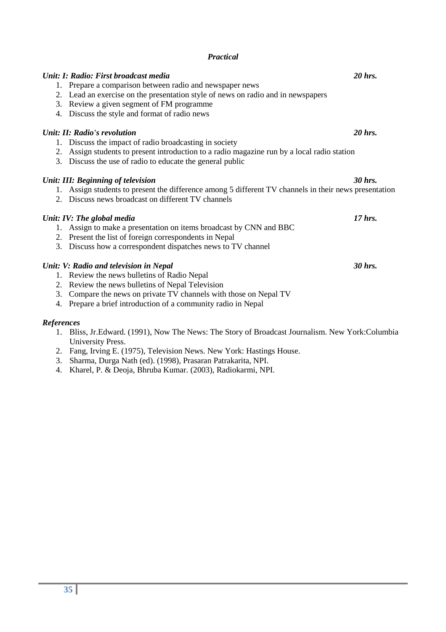#### *Practical*

|    | Unit: I: Radio: First broadcast media<br>1. Prepare a comparison between radio and newspaper news<br>2. Lead an exercise on the presentation style of news on radio and in newspapers<br>3. Review a given segment of FM programme<br>4. Discuss the style and format of radio news | 20 hrs. |
|----|-------------------------------------------------------------------------------------------------------------------------------------------------------------------------------------------------------------------------------------------------------------------------------------|---------|
| 2. | Unit: II: Radio's revolution<br>1. Discuss the impact of radio broadcasting in society<br>Assign students to present introduction to a radio magazine run by a local radio station<br>3. Discuss the use of radio to educate the general public                                     | 20 hrs. |
|    | Unit: III: Beginning of television<br>1. Assign students to present the difference among 5 different TV channels in their news presentation<br>2. Discuss news broadcast on different TV channels                                                                                   | 30 hrs. |
|    | Unit: IV: The global media<br>1. Assign to make a presentation on items broadcast by CNN and BBC<br>2. Present the list of foreign correspondents in Nepal<br>3. Discuss how a correspondent dispatches news to TV channel                                                          | 17 hrs. |
|    | Unit: V: Radio and television in Nepal<br>1. Review the news bulletins of Radio Nepal<br>2. Review the news bulletins of Nepal Television                                                                                                                                           | 30 hrs. |

- 3. Compare the news on private TV channels with those on Nepal TV
- 4. Prepare a brief introduction of a community radio in Nepal

#### *References*

- 1. Bliss, Jr.Edward. (1991), Now The News: The Story of Broadcast Journalism. New York:Columbia University Press.
- 2. Fang, Irving E. (1975), Television News. New York: Hastings House.
- 3. Sharma, Durga Nath (ed). (1998), Prasaran Patrakarita, NPI.
- 4. Kharel, P. & Deoja, Bhruba Kumar. (2003), Radiokarmi, NPI.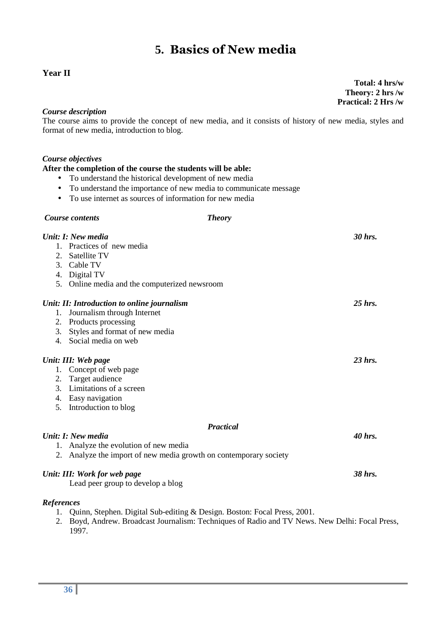## **5. Basics of New media**

#### **Year II**

**Total: 4 hrs/w Theory: 2 hrs /w Practical: 2 Hrs /w**

#### *Course description*

The course aims to provide the concept of new media, and it consists of history of new media, styles and format of new media, introduction to blog.

#### *Course objectives*

#### **After the completion of the course the students will be able:**

- To understand the historical development of new media
- To understand the importance of new media to communicate message
- To use internet as sources of information for new media

|                   | <b>Course contents</b>                                            | <b>Theory</b>                                                            |           |
|-------------------|-------------------------------------------------------------------|--------------------------------------------------------------------------|-----------|
|                   | Unit: I: New media                                                |                                                                          | 30 hrs.   |
|                   | 1. Practices of new media                                         |                                                                          |           |
| $2_{1}$           | Satellite TV                                                      |                                                                          |           |
|                   | 3. Cable TV                                                       |                                                                          |           |
|                   | 4. Digital TV                                                     |                                                                          |           |
|                   | 5. Online media and the computerized newsroom                     |                                                                          |           |
|                   | Unit: II: Introduction to online journalism                       |                                                                          | $25$ hrs. |
| 1.                | Journalism through Internet                                       |                                                                          |           |
| 2.                | Products processing                                               |                                                                          |           |
| 3.                | Styles and format of new media                                    |                                                                          |           |
| 4.                | Social media on web                                               |                                                                          |           |
|                   | Unit: III: Web page                                               |                                                                          | $23$ hrs. |
| 1.                | Concept of web page                                               |                                                                          |           |
| 2.                | Target audience                                                   |                                                                          |           |
| 3.                | Limitations of a screen                                           |                                                                          |           |
|                   | 4. Easy navigation                                                |                                                                          |           |
| 5.                | Introduction to blog                                              |                                                                          |           |
|                   |                                                                   | <b>Practical</b>                                                         |           |
|                   | Unit: I: New media                                                |                                                                          | 40 hrs.   |
|                   | 1. Analyze the evolution of new media                             |                                                                          |           |
|                   | 2. Analyze the import of new media growth on contemporary society |                                                                          |           |
|                   | Unit: III: Work for web page                                      |                                                                          | 38 hrs.   |
|                   | Lead peer group to develop a blog                                 |                                                                          |           |
| <b>References</b> |                                                                   |                                                                          |           |
| 1.                |                                                                   | Quinn, Stephen. Digital Sub-editing & Design. Boston: Focal Press, 2001. |           |

2. Boyd, Andrew. Broadcast Journalism: Techniques of Radio and TV News. New Delhi: Focal Press, 1997.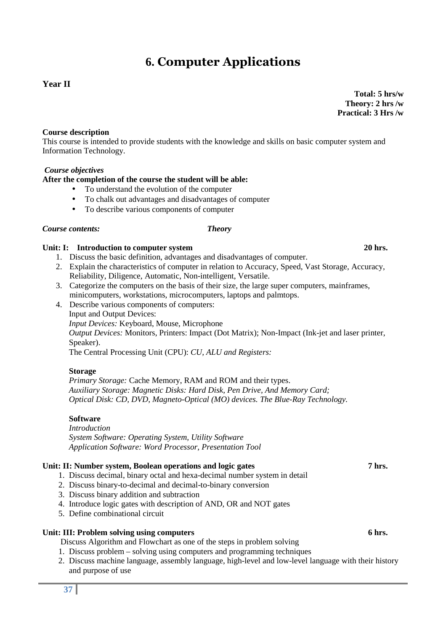## **6. Computer Applications**

### **Year II**

**Total: 5 hrs/w Theory: 2 hrs /w Practical: 3 Hrs /w**

#### **Course description**

This course is intended to provide students with the knowledge and skills on basic computer system and Information Technology.

#### *Course objectives*

#### **After the completion of the course the student will be able:**

- To understand the evolution of the computer
- To chalk out advantages and disadvantages of computer
- To describe various components of computer

#### *Course contents: Theory*

## Unit: I: Introduction to computer system 20 hrs.

- 1. Discuss the basic definition, advantages and disadvantages of computer.
- 2. Explain the characteristics of computer in relation to Accuracy, Speed, Vast Storage, Accuracy, Reliability, Diligence, Automatic, Non-intelligent, Versatile.
- 3. Categorize the computers on the basis of their size, the large super computers, mainframes, minicomputers, workstations, microcomputers, laptops and palmtops.
- 4. Describe various components of computers: Input and Output Devices:  *Input Devices:* Keyboard, Mouse, Microphone  *Output Devices:* Monitors, Printers: Impact (Dot Matrix); Non-Impact (Ink-jet and laser printer, Speaker). The Central Processing Unit (CPU): *CU, ALU and Registers:*

#### **Storage**

 *Primary Storage:* Cache Memory, RAM and ROM and their types.  *Auxiliary Storage: Magnetic Disks: Hard Disk, Pen Drive, And Memory Card; Optical Disk: CD, DVD, Magneto-Optical (MO) devices. The Blue-Ray Technology.*

#### **Software**

 *Introduction System Software: Operating System, Utility Software Application Software: Word Processor, Presentation Tool*

#### Unit: II: Number system, Boolean operations and logic gates 7 hrs.

- 1. Discuss decimal, binary octal and hexa-decimal number system in detail
- 2. Discuss binary-to-decimal and decimal-to-binary conversion
- 3. Discuss binary addition and subtraction
- 4. Introduce logic gates with description of AND, OR and NOT gates
- 5. Define combinational circuit

#### Unit: III: Problem solving using computers **6 hrs.** 6 hrs.

Discuss Algorithm and Flowchart as one of the steps in problem solving

- 1. Discuss problem solving using computers and programming techniques
- 2. Discuss machine language, assembly language, high-level and low-level language with their history and purpose of use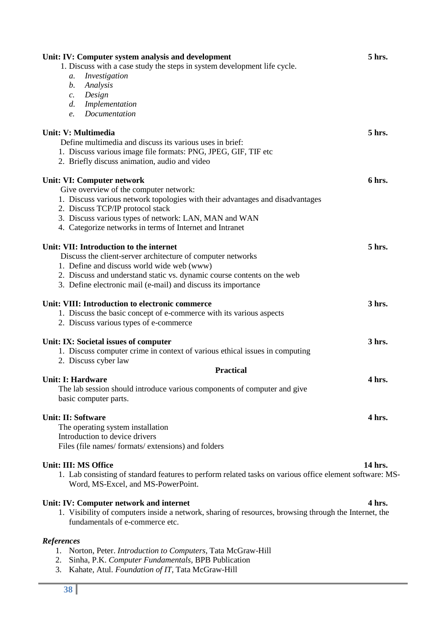| Unit: IV: Computer system analysis and development                                                      | 5 hrs.  |
|---------------------------------------------------------------------------------------------------------|---------|
| 1. Discuss with a case study the steps in system development life cycle.                                |         |
| Investigation<br>a.                                                                                     |         |
| Analysis<br>b.                                                                                          |         |
| Design<br>$\mathcal{C}$ .                                                                               |         |
| Implementation<br>$d_{\cdot}$                                                                           |         |
| Documentation<br>e.                                                                                     |         |
|                                                                                                         |         |
| <b>Unit: V: Multimedia</b>                                                                              | 5 hrs.  |
| Define multimedia and discuss its various uses in brief:                                                |         |
| 1. Discuss various image file formats: PNG, JPEG, GIF, TIF etc                                          |         |
| 2. Briefly discuss animation, audio and video                                                           |         |
| Unit: VI: Computer network                                                                              | 6 hrs.  |
| Give overview of the computer network:                                                                  |         |
| 1. Discuss various network topologies with their advantages and disadvantages                           |         |
| 2. Discuss TCP/IP protocol stack                                                                        |         |
| 3. Discuss various types of network: LAN, MAN and WAN                                                   |         |
| 4. Categorize networks in terms of Internet and Intranet                                                |         |
|                                                                                                         |         |
| Unit: VII: Introduction to the internet                                                                 | 5 hrs.  |
| Discuss the client-server architecture of computer networks                                             |         |
| 1. Define and discuss world wide web (www)                                                              |         |
| 2. Discuss and understand static vs. dynamic course contents on the web                                 |         |
| 3. Define electronic mail (e-mail) and discuss its importance                                           |         |
|                                                                                                         |         |
| Unit: VIII: Introduction to electronic commerce                                                         | 3 hrs.  |
| 1. Discuss the basic concept of e-commerce with its various aspects                                     |         |
| 2. Discuss various types of e-commerce                                                                  |         |
| Unit: IX: Societal issues of computer                                                                   | 3 hrs.  |
| 1. Discuss computer crime in context of various ethical issues in computing                             |         |
| 2. Discuss cyber law                                                                                    |         |
| <b>Practical</b>                                                                                        |         |
| <b>Unit: I: Hardware</b>                                                                                | 4 hrs.  |
| The lab session should introduce various components of computer and give                                |         |
| basic computer parts.                                                                                   |         |
|                                                                                                         |         |
| <b>Unit: II: Software</b>                                                                               | 4 hrs.  |
| The operating system installation<br>Introduction to device drivers                                     |         |
|                                                                                                         |         |
| Files (file names/formats/extensions) and folders                                                       |         |
| Unit: III: MS Office                                                                                    | 14 hrs. |
| 1. Lab consisting of standard features to perform related tasks on various office element software: MS- |         |
| Word, MS-Excel, and MS-PowerPoint.                                                                      |         |
|                                                                                                         |         |
| Unit: IV: Computer network and internet                                                                 | 4 hrs.  |
| 1. Visibility of computers inside a network, sharing of resources, browsing through the Internet, the   |         |
| fundamentals of e-commerce etc.                                                                         |         |
| <b>References</b>                                                                                       |         |
| 1. Norton, Peter. Introduction to Computers, Tata McGraw-Hill                                           |         |
| Sinha, P.K. Computer Fundamentals, BPB Publication<br>2.                                                |         |
| 3. Kahate, Atul. Foundation of IT, Tata McGraw-Hill                                                     |         |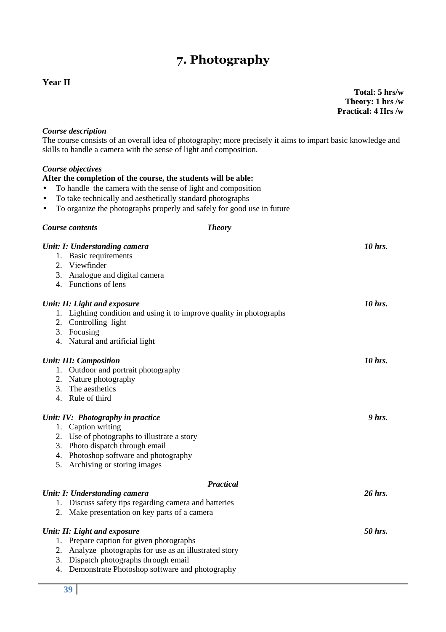## **7. Photography**

#### **Year II**

**Total: 5 hrs/w Theory: 1 hrs /w Practical: 4 Hrs /w**

#### *Course description*

The course consists of an overall idea of photography; more precisely it aims to impart basic knowledge and skills to handle a camera with the sense of light and composition.

#### *Course objectives*

#### **After the completion of the course, the students will be able:**

- To handle the camera with the sense of light and composition
- To take technically and aesthetically standard photographs

*Course contents Theory* 

• To organize the photographs properly and safely for good use in future

|    | Unit: I: Understanding camera                                        | 10 hrs.  |
|----|----------------------------------------------------------------------|----------|
|    | 1. Basic requirements                                                |          |
|    | 2. Viewfinder                                                        |          |
|    | 3. Analogue and digital camera                                       |          |
|    | 4. Functions of lens                                                 |          |
|    | Unit: II: Light and exposure                                         | 10 hrs.  |
|    | 1. Lighting condition and using it to improve quality in photographs |          |
|    | 2. Controlling light                                                 |          |
|    | 3. Focusing                                                          |          |
|    | 4. Natural and artificial light                                      |          |
|    | <b>Unit: III: Composition</b>                                        | 10 hrs.  |
|    | 1. Outdoor and portrait photography                                  |          |
|    | 2. Nature photography                                                |          |
|    | 3. The aesthetics                                                    |          |
|    | 4. Rule of third                                                     |          |
|    | Unit: IV: Photography in practice                                    | $9$ hrs. |
|    | 1. Caption writing                                                   |          |
|    | 2. Use of photographs to illustrate a story                          |          |
|    | 3. Photo dispatch through email                                      |          |
|    | 4. Photoshop software and photography                                |          |
|    | 5. Archiving or storing images                                       |          |
|    | <b>Practical</b>                                                     |          |
|    | Unit: I: Understanding camera                                        | 26 hrs.  |
|    | 1. Discuss safety tips regarding camera and batteries                |          |
|    | 2. Make presentation on key parts of a camera                        |          |
|    | Unit: II: Light and exposure                                         | 50 hrs.  |
|    | 1. Prepare caption for given photographs                             |          |
|    | 2. Analyze photographs for use as an illustrated story               |          |
|    | 3. Dispatch photographs through email                                |          |
| 4. | Demonstrate Photoshop software and photography                       |          |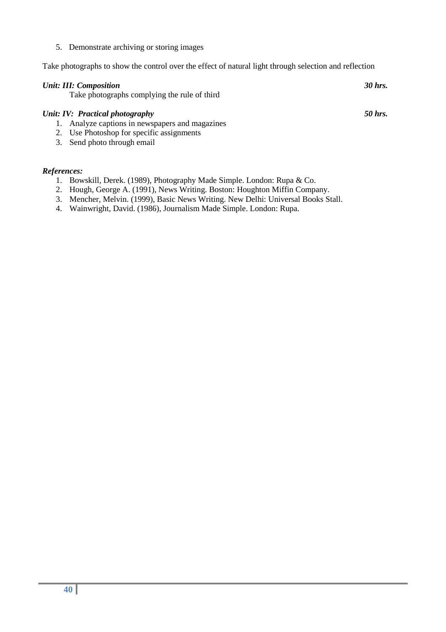5. Demonstrate archiving or storing images

Take photographs to show the control over the effect of natural light through selection and reflection

| <b>Unit: III: Composition</b><br>Take photographs complying the rule of third | 30 hrs. |
|-------------------------------------------------------------------------------|---------|
| Unit: IV: Practical photography                                               | 50 hrs. |
| 1. Analyze captions in newspapers and magazines                               |         |
| 2. Use Photoshop for specific assignments                                     |         |

3. Send photo through email

#### *References:*

- 1. Bowskill, Derek. (1989), Photography Made Simple. London: Rupa & Co.
- 2. Hough, George A. (1991), News Writing. Boston: Houghton Miffin Company.
- 3. Mencher, Melvin. (1999), Basic News Writing. New Delhi: Universal Books Stall.
- 4. Wainwright, David. (1986), Journalism Made Simple. London: Rupa.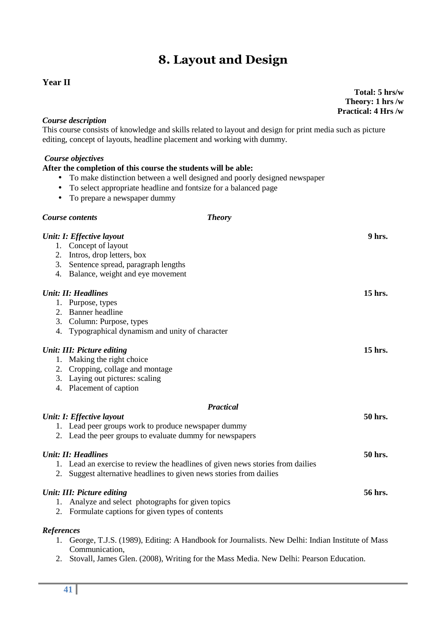## **8. Layout and Design**

#### **Year II**

**Total: 5 hrs/w Theory: 1 hrs /w Practical: 4 Hrs /w**

#### *Course description*

This course consists of knowledge and skills related to layout and design for print media such as picture editing, concept of layouts, headline placement and working with dummy.

#### *Course objectives*

#### **After the completion of this course the students will be able:**

- To make distinction between a well designed and poorly designed newspaper
- To select appropriate headline and fontsize for a balanced page
- To prepare a newspaper dummy

|                   | <b>Theory</b><br>Course contents                                                                                                                                                 |         |
|-------------------|----------------------------------------------------------------------------------------------------------------------------------------------------------------------------------|---------|
| 2.<br>3.<br>4.    | Unit: I: Effective layout<br>1. Concept of layout<br>Intros, drop letters, box<br>Sentence spread, paragraph lengths<br>Balance, weight and eye movement                         | 9 hrs.  |
|                   | <b>Unit: II: Headlines</b><br>1. Purpose, types<br>2. Banner headline<br>3. Column: Purpose, types<br>4. Typographical dynamism and unity of character                           | 15 hrs. |
| 1.<br>2.<br>3.    | <b>Unit: III: Picture editing</b><br>Making the right choice<br>Cropping, collage and montage<br>Laying out pictures: scaling<br>4. Placement of caption                         | 15 hrs. |
|                   | <b>Practical</b><br>Unit: I: Effective layout<br>1. Lead peer groups work to produce newspaper dummy<br>2. Lead the peer groups to evaluate dummy for newspapers                 | 50 hrs. |
| 2.                | <b>Unit: II: Headlines</b><br>1. Lead an exercise to review the headlines of given news stories from dailies<br>Suggest alternative headlines to given news stories from dailies | 50 hrs. |
| 1.<br>2.          | Unit: III: Picture editing<br>Analyze and select photographs for given topics<br>Formulate captions for given types of contents                                                  | 56 hrs. |
| <b>References</b> | George, T.J.S. (1989), Editing: A Handbook for Journalists. New Delhi: Indian Institute of Mass<br>Communication,                                                                |         |

2. Stovall, James Glen. (2008), Writing for the Mass Media. New Delhi: Pearson Education.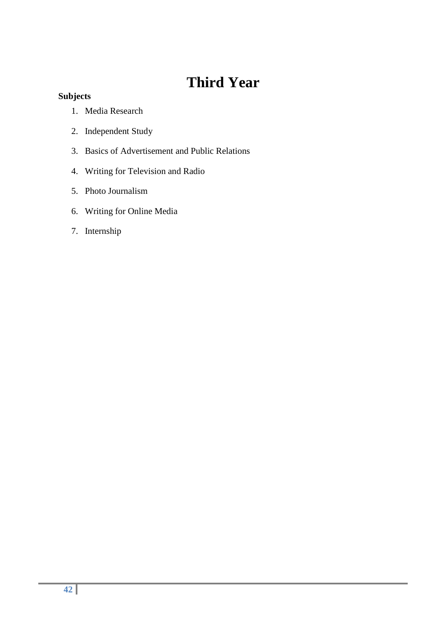## **Third Year**

### **Subjects**

- 1. Media Research
- 2. Independent Study
- 3. Basics of Advertisement and Public Relations
- 4. Writing for Television and Radio
- 5. Photo Journalism
- 6. Writing for Online Media
- 7. Internship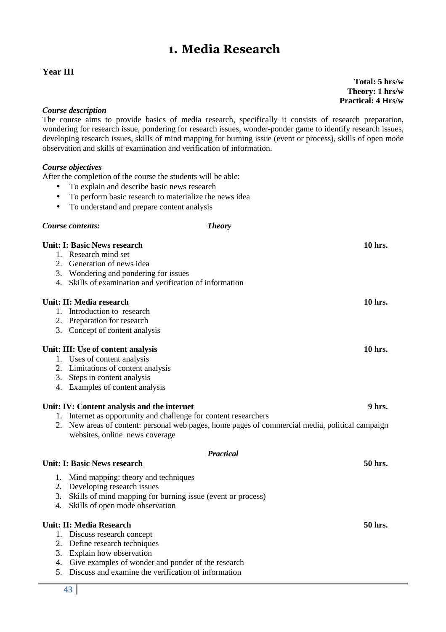## **1. Media Research**

### **Year III**

**Total: 5 hrs/w Theory: 1 hrs/w Practical: 4 Hrs/w**

#### *Course description*

The course aims to provide basics of media research, specifically it consists of research preparation, wondering for research issue, pondering for research issues, wonder-ponder game to identify research issues, developing research issues, skills of mind mapping for burning issue (event or process), skills of open mode observation and skills of examination and verification of information.

#### *Course objectives*

After the completion of the course the students will be able:

- To explain and describe basic news research
- To perform basic research to materialize the news idea
- To understand and prepare content analysis

#### *Course contents: Theory*

#### **Unit: I: Basic News research 10 hrs.**

- 1. Research mind set
- 2. Generation of news idea
- 3. Wondering and pondering for issues
- 4. Skills of examination and verification of information

#### **Unit: II: Media research 10 hrs.**

- 1. Introduction to research
- 2. Preparation for research
- 3. Concept of content analysis

#### Unit: III: Use of content analysis 10 hrs. 10 hrs.

- 1. Uses of content analysis
- 2. Limitations of content analysis
- 3. Steps in content analysis
- 4. Examples of content analysis

#### Unit: IV: Content analysis and the internet 9 hrs.

- 1. Internet as opportunity and challenge for content researchers
- 2. New areas of content: personal web pages, home pages of commercial media, political campaign websites, online news coverage

*Practical* 

#### Unit: I: Basic News research 50 hrs. **50 hrs. 50 hrs. 50 hrs. 50 hrs. 50 hrs. 50 hrs. 50 hrs. 50 hrs. 50 hrs. 50 hrs. 50 hrs. 50 hrs. 50 hrs. 50 hrs. 50 hrs. 50 hrs. 50 hrs. 50 hrs. 50 h**

- 1. Mind mapping: theory and techniques
- 2. Developing research issues
- 3. Skills of mind mapping for burning issue (event or process)
- 4. Skills of open mode observation

#### **Unit: II: Media Research 50 hrs.**

- 1. Discuss research concept
- 2. Define research techniques
- 3. Explain how observation
- 4. Give examples of wonder and ponder of the research
- 5. Discuss and examine the verification of information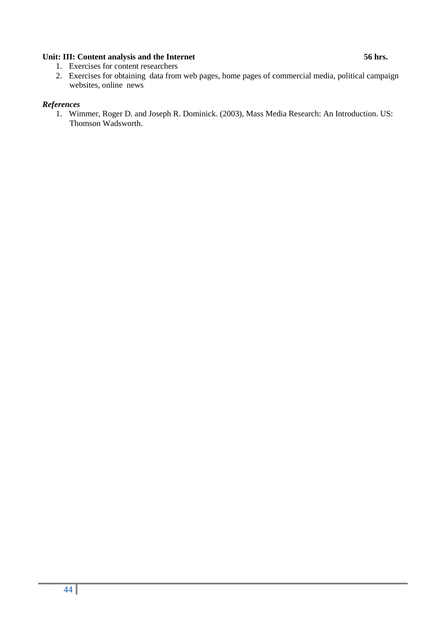#### Unit: III: Content analysis and the Internet 56 hrs.

- 1. Exercises for content researchers
- 2. Exercises for obtaining data from web pages, home pages of commercial media, political campaign websites, online news

#### *References*

1. Wimmer, Roger D. and Joseph R. Dominick. (2003), Mass Media Research: An Introduction. US: Thomson Wadsworth.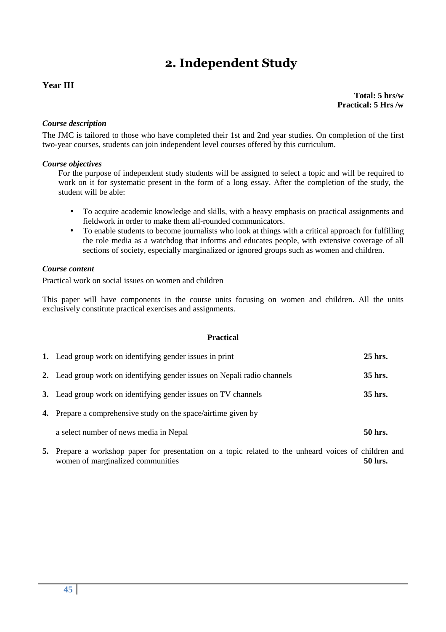## **2. Independent Study**

#### **Year III**

**Total: 5 hrs/w Practical: 5 Hrs /w**

#### *Course description*

The JMC is tailored to those who have completed their 1st and 2nd year studies. On completion of the first two-year courses, students can join independent level courses offered by this curriculum.

#### *Course objectives*

For the purpose of independent study students will be assigned to select a topic and will be required to work on it for systematic present in the form of a long essay. After the completion of the study, the student will be able:

- To acquire academic knowledge and skills, with a heavy emphasis on practical assignments and fieldwork in order to make them all-rounded communicators.
- To enable students to become journalists who look at things with a critical approach for fulfilling the role media as a watchdog that informs and educates people, with extensive coverage of all sections of society, especially marginalized or ignored groups such as women and children.

#### *Course content*

Practical work on social issues on women and children

This paper will have components in the course units focusing on women and children. All the units exclusively constitute practical exercises and assignments.

#### **Practical**

| 1. Lead group work on identifying gender issues in print                 | 25 hrs. |
|--------------------------------------------------------------------------|---------|
| 2. Lead group work on identifying gender issues on Nepali radio channels | 35 hrs. |
| 3. Lead group work on identifying gender issues on TV channels           | 35 hrs. |
| <b>4.</b> Prepare a comprehensive study on the space/airtime given by    |         |
| a select number of news media in Nepal                                   | 50 hrs. |
|                                                                          |         |

**5.** Prepare a workshop paper for presentation on a topic related to the unheard voices of children and women of marginalized communities **50 hrs. 50 hrs.**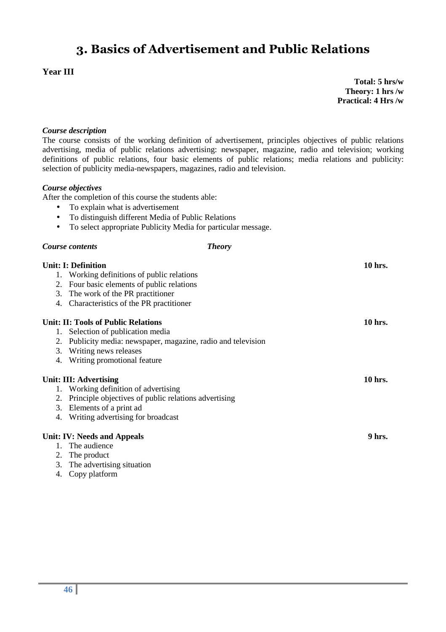## **3. Basics of Advertisement and Public Relations**

### **Year III**

**Total: 5 hrs/w Theory: 1 hrs /w Practical: 4 Hrs /w**

#### *Course description*

The course consists of the working definition of advertisement, principles objectives of public relations advertising, media of public relations advertising: newspaper, magazine, radio and television; working definitions of public relations, four basic elements of public relations; media relations and publicity: selection of publicity media-newspapers, magazines, radio and television.

#### *Course objectives*

After the completion of this course the students able:

- To explain what is advertisement
- To distinguish different Media of Public Relations
- To select appropriate Publicity Media for particular message.

#### *Course contents Theory*

|               | <b>Unit: I: Definition</b>                                    | 10 hrs. |
|---------------|---------------------------------------------------------------|---------|
|               | 1. Working definitions of public relations                    |         |
|               | 2. Four basic elements of public relations                    |         |
|               | 3. The work of the PR practitioner                            |         |
|               | 4. Characteristics of the PR practitioner                     |         |
|               | <b>Unit: II: Tools of Public Relations</b>                    | 10 hrs. |
|               | 1. Selection of publication media                             |         |
|               | 2. Publicity media: newspaper, magazine, radio and television |         |
|               | 3. Writing news releases                                      |         |
|               | 4. Writing promotional feature                                |         |
|               | Unit: III: Advertising                                        | 10 hrs. |
|               | 1. Working definition of advertising                          |         |
|               | 2. Principle objectives of public relations advertising       |         |
|               | 3. Elements of a print ad                                     |         |
|               | 4. Writing advertising for broadcast                          |         |
|               | <b>Unit: IV: Needs and Appeals</b>                            | 9 hrs.  |
|               | 1. The audience                                               |         |
|               | 2. The product                                                |         |
|               | 3. The advertising situation                                  |         |
| $\mathcal{A}$ | $C_{\text{max}}$ and $\epsilon$ and $\epsilon$                |         |

4. Copy platform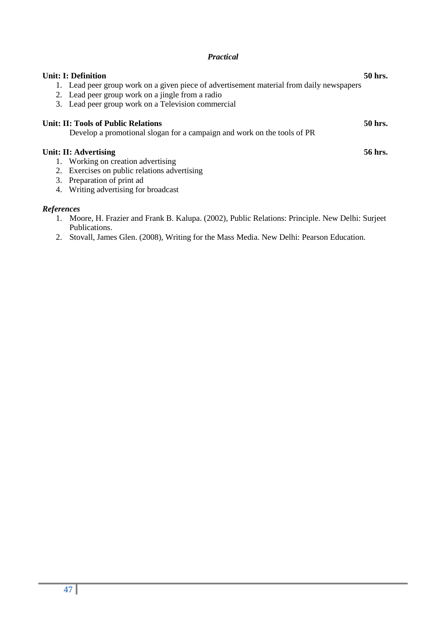#### *Practical*

| 3.                | <b>Unit: I: Definition</b><br>Lead peer group work on a given piece of advertisement material from daily newspapers<br>2. Lead peer group work on a jingle from a radio<br>Lead peer group work on a Television commercial | 50 hrs. |
|-------------------|----------------------------------------------------------------------------------------------------------------------------------------------------------------------------------------------------------------------------|---------|
|                   | <b>Unit: II: Tools of Public Relations</b>                                                                                                                                                                                 | 50 hrs. |
|                   | Develop a promotional slogan for a campaign and work on the tools of PR                                                                                                                                                    |         |
|                   | Unit: II: Advertising                                                                                                                                                                                                      | 56 hrs. |
| 1.                | Working on creation advertising                                                                                                                                                                                            |         |
| 2.                | Exercises on public relations advertising                                                                                                                                                                                  |         |
| 3.                | Preparation of print ad                                                                                                                                                                                                    |         |
| 4.                | Writing advertising for broadcast                                                                                                                                                                                          |         |
| <b>References</b> |                                                                                                                                                                                                                            |         |

- 1. Moore, H. Frazier and Frank B. Kalupa. (2002), Public Relations: Principle. New Delhi: Surjeet Publications.
- 2. Stovall, James Glen. (2008), Writing for the Mass Media. New Delhi: Pearson Education.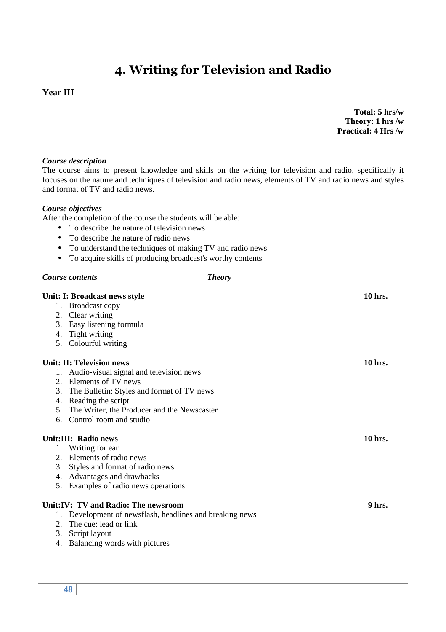## **4. Writing for Television and Radio**

#### **Year III**

**Total: 5 hrs/w Theory: 1 hrs /w Practical: 4 Hrs /w**

#### *Course description*

The course aims to present knowledge and skills on the writing for television and radio, specifically it focuses on the nature and techniques of television and radio news, elements of TV and radio news and styles and format of TV and radio news.

#### *Course objectives*

After the completion of the course the students will be able:

- To describe the nature of television news
- To describe the nature of radio news
- To understand the techniques of making TV and radio news
- To acquire skills of producing broadcast's worthy contents

#### *Course contents Theory*

|    | Unit: I: Broadcast news style                            | 10 hrs. |
|----|----------------------------------------------------------|---------|
|    | 1. Broadcast copy                                        |         |
|    | 2. Clear writing                                         |         |
| 3. | Easy listening formula                                   |         |
| 4. | Tight writing                                            |         |
|    | 5. Colourful writing                                     |         |
|    | Unit: II: Television news                                | 10 hrs. |
|    | 1. Audio-visual signal and television news               |         |
|    | 2. Elements of TV news                                   |         |
| 3. | The Bulletin: Styles and format of TV news               |         |
|    | 4. Reading the script                                    |         |
|    | 5. The Writer, the Producer and the Newscaster           |         |
| 6. | Control room and studio                                  |         |
|    | Unit:III: Radio news                                     | 10 hrs. |
|    | 1. Writing for ear                                       |         |
|    | 2. Elements of radio news                                |         |
| 3. | Styles and format of radio news                          |         |
| 4. | Advantages and drawbacks                                 |         |
| 5. | Examples of radio news operations                        |         |
|    | Unit: IV: TV and Radio: The newsroom                     | 9 hrs.  |
|    | 1. Development of newsflash, headlines and breaking news |         |
|    | 2. The cue: lead or link                                 |         |
| 3. | Script layout                                            |         |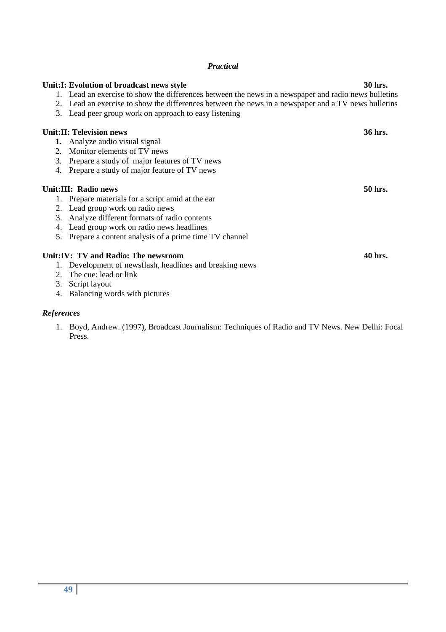#### *Practical*

|         | Unit: I: Evolution of broadcast news style                                                           | 30 hrs. |
|---------|------------------------------------------------------------------------------------------------------|---------|
|         | 1. Lead an exercise to show the differences between the news in a newspaper and radio news bulletins |         |
|         | 2. Lead an exercise to show the differences between the news in a newspaper and a TV news bulletins  |         |
| 3.      | Lead peer group work on approach to easy listening                                                   |         |
|         | <b>Unit:II: Television news</b>                                                                      | 36 hrs. |
|         | <b>1.</b> Analyze audio visual signal                                                                |         |
| $2_{1}$ | Monitor elements of TV news                                                                          |         |
| 3.      | Prepare a study of major features of TV news                                                         |         |
| 4.      | Prepare a study of major feature of TV news                                                          |         |
|         | Unit:III: Radio news                                                                                 | 50 hrs. |
|         | Prepare materials for a script amid at the ear                                                       |         |
|         | 2. Lead group work on radio news                                                                     |         |
| 3.      | Analyze different formats of radio contents                                                          |         |
| 4.      | Lead group work on radio news headlines                                                              |         |
| 5.      | Prepare a content analysis of a prime time TV channel                                                |         |
|         | Unit: IV: TV and Radio: The newsroom                                                                 | 40 hrs. |
| 1.      | Development of newsflash, headlines and breaking news                                                |         |
|         | 2. The cue: lead or link                                                                             |         |
| 3.      | Script layout                                                                                        |         |
| 4.      | Balancing words with pictures                                                                        |         |

### *References*

1. Boyd, Andrew. (1997), Broadcast Journalism: Techniques of Radio and TV News. New Delhi: Focal Press.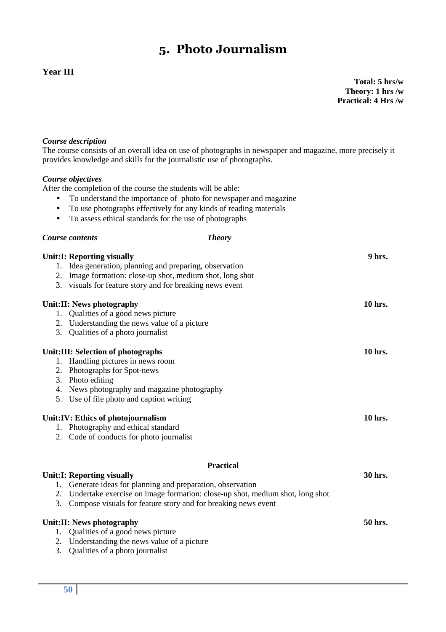## **5. Photo Journalism**

### **Year III**

**Total: 5 hrs/w Theory: 1 hrs /w Practical: 4 Hrs /w**

#### *Course description*

The course consists of an overall idea on use of photographs in newspaper and magazine, more precisely it provides knowledge and skills for the journalistic use of photographs.

#### *Course objectives*

After the completion of the course the students will be able:

- To understand the importance of photo for newspaper and magazine
- To use photographs effectively for any kinds of reading materials
- To assess ethical standards for the use of photographs

#### *Course contents Theory*

|    | <b>Unit:I: Reporting visually</b>                                               | 9 hrs.  |
|----|---------------------------------------------------------------------------------|---------|
|    | 1. Idea generation, planning and preparing, observation                         |         |
|    | 2. Image formation: close-up shot, medium shot, long shot                       |         |
|    | 3. visuals for feature story and for breaking news event                        |         |
|    | Unit:II: News photography                                                       | 10 hrs. |
|    | 1. Qualities of a good news picture                                             |         |
|    | 2. Understanding the news value of a picture                                    |         |
|    | 3. Qualities of a photo journalist                                              |         |
|    | <b>Unit:III: Selection of photographs</b>                                       | 10 hrs. |
|    | 1. Handling pictures in news room                                               |         |
|    | 2. Photographs for Spot-news                                                    |         |
|    | 3. Photo editing                                                                |         |
|    | 4. News photography and magazine photography                                    |         |
|    | 5. Use of file photo and caption writing                                        |         |
|    | Unit: IV: Ethics of photojournalism                                             | 10 hrs. |
| 1. | Photography and ethical standard                                                |         |
|    | 2. Code of conducts for photo journalist                                        |         |
|    |                                                                                 |         |
|    | <b>Practical</b>                                                                |         |
|    | <b>Unit:I: Reporting visually</b>                                               | 30 hrs. |
|    | 1. Generate ideas for planning and preparation, observation                     |         |
|    | 2. Undertake exercise on image formation: close-up shot, medium shot, long shot |         |
|    | 3. Compose visuals for feature story and for breaking news event                |         |
|    | Unit:II: News photography                                                       | 50 hrs. |
|    | 1. Qualities of a good news picture                                             |         |
|    | 2. Understanding the news value of a picture                                    |         |

3. Qualities of a photo journalist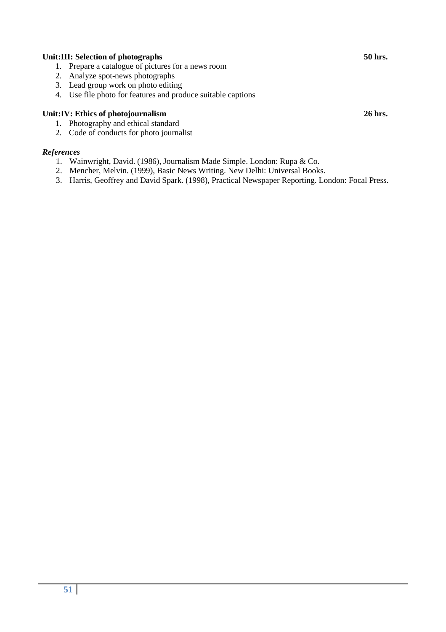#### Unit:III: Selection of photographs 50 hrs. 50 hrs.

- 1. Prepare a catalogue of pictures for a news room
- 2. Analyze spot-news photographs
- 3. Lead group work on photo editing
- 4. Use file photo for features and produce suitable captions

#### Unit:IV: Ethics of photojournalism 26 hrs. 26 hrs.

- 1. Photography and ethical standard
- 2. Code of conducts for photo journalist

#### *References*

- 1. Wainwright, David. (1986), Journalism Made Simple. London: Rupa & Co.
- 2. Mencher, Melvin. (1999), Basic News Writing. New Delhi: Universal Books.
- 3. Harris, Geoffrey and David Spark. (1998), Practical Newspaper Reporting. London: Focal Press.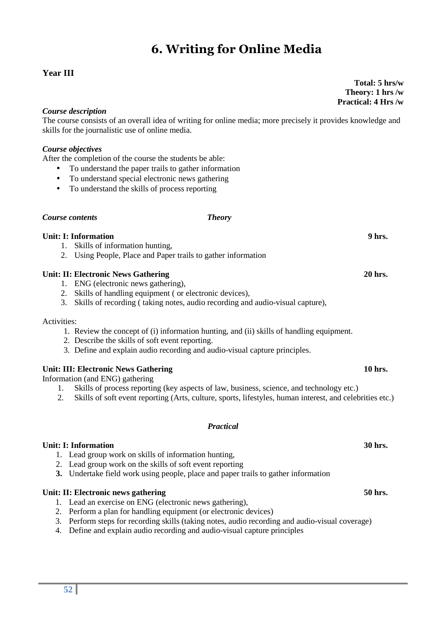## **6. Writing for Online Media**

#### **Year III**

**Total: 5 hrs/w Theory: 1 hrs /w Practical: 4 Hrs /w**

#### *Course description*

The course consists of an overall idea of writing for online media; more precisely it provides knowledge and skills for the journalistic use of online media.

#### *Course objectives*

After the completion of the course the students be able:

- To understand the paper trails to gather information
- To understand special electronic news gathering
- To understand the skills of process reporting

#### *Course contents Theory*

#### **Unit: I: Information 9 hrs.**

- 1. Skills of information hunting,
- 2. Using People, Place and Paper trails to gather information

#### Unit: II: Electronic News Gathering **20 hrs.** 20 hrs.

- 1. ENG (electronic news gathering),
- 2. Skills of handling equipment ( or electronic devices),
- 3. Skills of recording ( taking notes, audio recording and audio-visual capture),

#### Activities:

- 1. Review the concept of (i) information hunting, and (ii) skills of handling equipment.
- 2. Describe the skills of soft event reporting.
- 3. Define and explain audio recording and audio-visual capture principles.

#### **Unit: III: Electronic News Gathering 10 hrs. 10 hrs. 10 hrs.**

Information (and ENG) gathering

- 1. Skills of process reporting (key aspects of law, business, science, and technology etc.)
- 2. Skills of soft event reporting (Arts, culture, sports, lifestyles, human interest, and celebrities etc.)

#### *Practical*

#### **Unit: I: Information 30 hrs.**

- 1. Lead group work on skills of information hunting,
- 2. Lead group work on the skills of soft event reporting
- **3.** Undertake field work using people, place and paper trails to gather information

#### Unit: II: Electronic news gathering **50 hrs. 50 hrs. 50 hrs. 50 hrs. 50 hrs.**

- 1. Lead an exercise on ENG (electronic news gathering),
- 2. Perform a plan for handling equipment (or electronic devices)
- 3. Perform steps for recording skills (taking notes, audio recording and audio-visual coverage)
- 4. Define and explain audio recording and audio-visual capture principles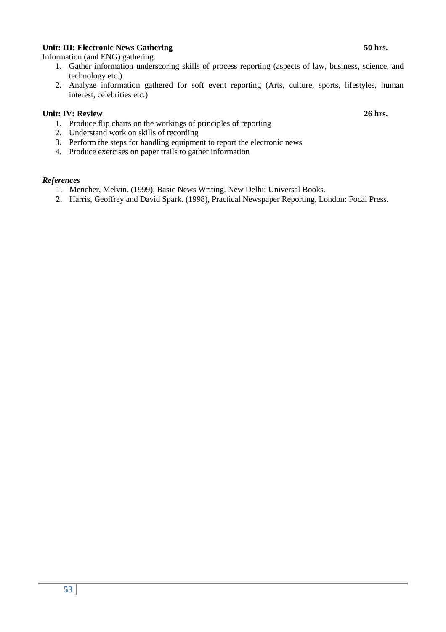#### **Unit: III: Electronic News Gathering 50 hrs.**

Information (and ENG) gathering

- 1. Gather information underscoring skills of process reporting (aspects of law, business, science, and technology etc.)
- 2. Analyze information gathered for soft event reporting (Arts, culture, sports, lifestyles, human interest, celebrities etc.)

#### **Unit: IV: Review 26 hrs.** 2012.

- 1. Produce flip charts on the workings of principles of reporting
- 2. Understand work on skills of recording
- 3. Perform the steps for handling equipment to report the electronic news
- 4. Produce exercises on paper trails to gather information

#### *References*

- 1. Mencher, Melvin. (1999), Basic News Writing. New Delhi: Universal Books.
- 2. Harris, Geoffrey and David Spark. (1998), Practical Newspaper Reporting. London: Focal Press.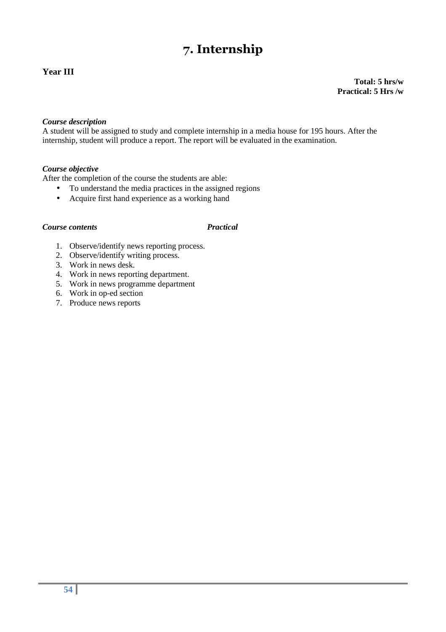## **7. Internship**

### **Year III**

**Total: 5 hrs/w Practical: 5 Hrs /w**

#### *Course description*

A student will be assigned to study and complete internship in a media house for 195 hours. After the internship, student will produce a report. The report will be evaluated in the examination.

#### *Course objective*

After the completion of the course the students are able:

- To understand the media practices in the assigned regions
- Acquire first hand experience as a working hand

#### *Course contents Practical*

- 1. Observe/identify news reporting process.
- 2. Observe/identify writing process.
- 3. Work in news desk.
- 4. Work in news reporting department.
- 5. Work in news programme department
- 6. Work in op-ed section
- 7. Produce news reports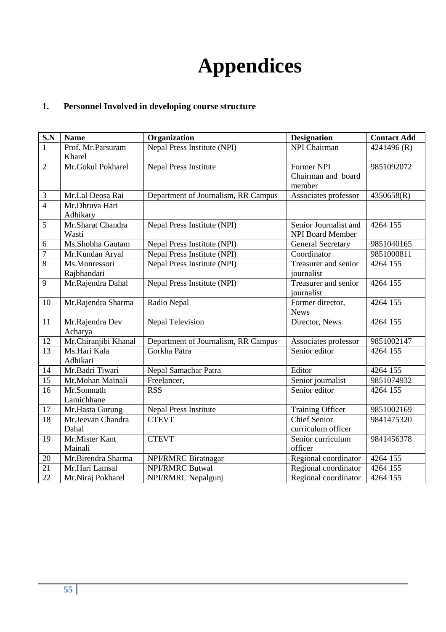# **Appendices**

## **1. Personnel Involved in developing course structure**

| $S.N$          | <b>Name</b>          | Organization                        | <b>Designation</b>       | <b>Contact Add</b> |
|----------------|----------------------|-------------------------------------|--------------------------|--------------------|
| $\mathbf{1}$   | Prof. Mr.Parsuram    | Nepal Press Institute (NPI)         | NPI Chairman             | 4241496 (R)        |
|                | Kharel               |                                     |                          |                    |
| $\overline{2}$ | Mr.Gokul Pokharel    | <b>Nepal Press Institute</b>        | Former NPI               | 9851092072         |
|                |                      |                                     | Chairman and board       |                    |
|                |                      |                                     | member                   |                    |
| $\mathfrak{Z}$ | Mr.Lal Deosa Rai     | Department of Journalism, RR Campus | Associates professor     | 4350658(R)         |
| $\overline{4}$ | Mr.Dhruva Hari       |                                     |                          |                    |
|                | Adhikary             |                                     |                          |                    |
| 5              | Mr.Sharat Chandra    | Nepal Press Institute (NPI)         | Senior Journalist and    | 4264 155           |
|                | Wasti                |                                     | <b>NPI Board Member</b>  |                    |
| 6              | Ms.Shobha Gautam     | Nepal Press Institute (NPI)         | <b>General Secretary</b> | 9851040165         |
| $\overline{7}$ | Mr.Kundan Aryal      | Nepal Press Institute (NPI)         | Coordinator              | 9851000811         |
| $\overline{8}$ | Ms.Monressori        | Nepal Press Institute (NPI)         | Treasurer and senior     | 4264 155           |
|                | Rajbhandari          |                                     | journalist               |                    |
| 9              | Mr.Rajendra Dahal    | Nepal Press Institute (NPI)         | Treasurer and senior     | 4264 155           |
|                |                      |                                     | journalist               |                    |
| 10             | Mr.Rajendra Sharma   | Radio Nepal                         | Former director,         | 4264 155           |
|                |                      |                                     | <b>News</b>              |                    |
| 11             | Mr.Rajendra Dev      | <b>Nepal Television</b>             | Director, News           | 4264 155           |
|                | Acharya              |                                     |                          |                    |
| 12             | Mr.Chiranjibi Khanal | Department of Journalism, RR Campus | Associates professor     | 9851002147         |
| 13             | Ms.Hari Kala         | Gorkha Patra                        | Senior editor            | 4264 155           |
|                | Adhikari             |                                     |                          |                    |
| 14             | Mr.Badri Tiwari      | Nepal Samachar Patra                | Editor                   | 4264 155           |
| 15             | Mr.Mohan Mainali     | Freelancer,                         | Senior journalist        | 9851074932         |
| 16             | Mr.Somnath           | <b>RSS</b>                          | Senior editor            | 4264 155           |
|                | Lamichhane           |                                     |                          |                    |
| 17             | Mr.Hasta Gurung      | <b>Nepal Press Institute</b>        | <b>Training Officer</b>  | 9851002169         |
| 18             | Mr.Jeevan Chandra    | <b>CTEVT</b>                        | <b>Chief Senior</b>      | 9841475320         |
|                | Dahal                |                                     | curriculum officer       |                    |
| 19             | Mr.Mister Kant       | <b>CTEVT</b>                        | Senior curriculum        | 9841456378         |
|                | Mainali              |                                     | officer                  |                    |
| 20             | Mr.Birendra Sharma   | NPI/RMRC Biratnagar                 | Regional coordinator     | 4264 155           |
| 21             | Mr.Hari Lamsal       | <b>NPI/RMRC Butwal</b>              | Regional coordinator     | 4264 155           |
| 22             | Mr.Niraj Pokharel    | NPI/RMRC Nepalgunj                  | Regional coordinator     | 4264 155           |